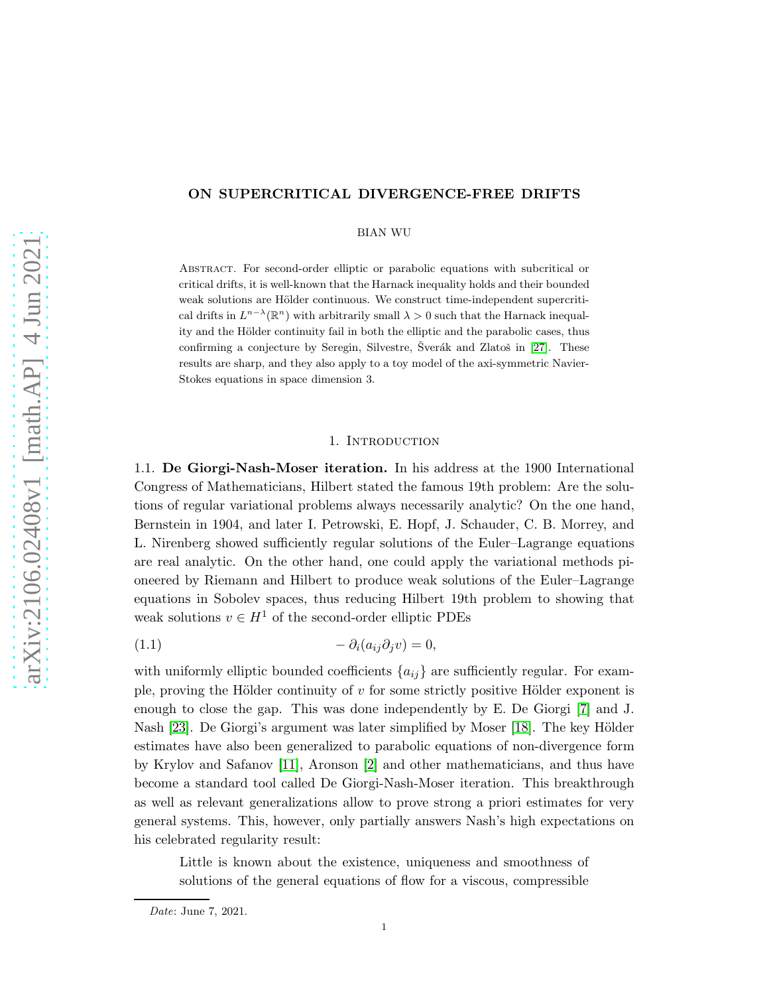# ON SUPERCRITICAL DIVERGENCE-FREE DRIFTS

### BIAN WU

Abstract. For second-order elliptic or parabolic equations with subcritical or critical drifts, it is well-known that the Harnack inequality holds and their bounded weak solutions are Hölder continuous. We construct time-independent supercritical drifts in  $L^{n-\lambda}(\mathbb{R}^n)$  with arbitrarily small  $\lambda > 0$  such that the Harnack inequality and the Hölder continuity fail in both the elliptic and the parabolic cases, thus confirming a conjecture by Seregin, Silvestre, Šverák and Zlatoš in [\[27\]](#page-24-0). These results are sharp, and they also apply to a toy model of the axi-symmetric Navier-Stokes equations in space dimension 3.

## <span id="page-0-0"></span>1. INTRODUCTION

1.1. De Giorgi-Nash-Moser iteration. In his address at the 1900 International Congress of Mathematicians, Hilbert stated the famous 19th problem: Are the solutions of regular variational problems always necessarily analytic? On the one hand, Bernstein in 1904, and later I. Petrowski, E. Hopf, J. Schauder, C. B. Morrey, and L. Nirenberg showed sufficiently regular solutions of the Euler–Lagrange equations are real analytic. On the other hand, one could apply the variational methods pioneered by Riemann and Hilbert to produce weak solutions of the Euler–Lagrange equations in Sobolev spaces, thus reducing Hilbert 19th problem to showing that weak solutions  $v \in H^1$  of the second-order elliptic PDEs

$$
(1.1) \t\t - \partial_i(a_{ij}\partial_j v) = 0,
$$

with uniformly elliptic bounded coefficients  ${a_{ij}}$  are sufficiently regular. For example, proving the Hölder continuity of  $v$  for some strictly positive Hölder exponent is enough to close the gap. This was done independently by E. De Giorgi [\[7\]](#page-23-0) and J. Nash [\[23\]](#page-24-1). De Giorgi's argument was later simplified by Moser [\[18\]](#page-24-2). The key Hölder estimates have also been generalized to parabolic equations of non-divergence form by Krylov and Safanov [\[11\]](#page-23-1), Aronson [\[2\]](#page-23-2) and other mathematicians, and thus have become a standard tool called De Giorgi-Nash-Moser iteration. This breakthrough as well as relevant generalizations allow to prove strong a priori estimates for very general systems. This, however, only partially answers Nash's high expectations on his celebrated regularity result:

Little is known about the existence, uniqueness and smoothness of solutions of the general equations of flow for a viscous, compressible

Date: June 7, 2021.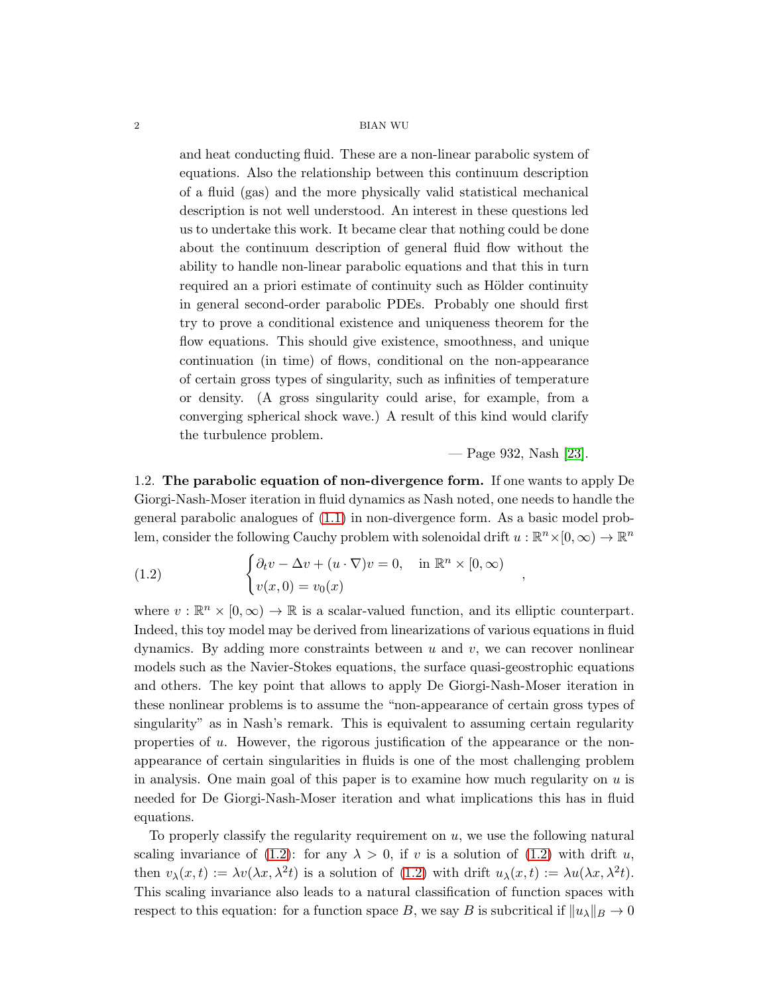and heat conducting fluid. These are a non-linear parabolic system of equations. Also the relationship between this continuum description of a fluid (gas) and the more physically valid statistical mechanical description is not well understood. An interest in these questions led us to undertake this work. It became clear that nothing could be done about the continuum description of general fluid flow without the ability to handle non-linear parabolic equations and that this in turn required an a priori estimate of continuity such as Hölder continuity in general second-order parabolic PDEs. Probably one should first try to prove a conditional existence and uniqueness theorem for the flow equations. This should give existence, smoothness, and unique continuation (in time) of flows, conditional on the non-appearance of certain gross types of singularity, such as infinities of temperature or density. (A gross singularity could arise, for example, from a converging spherical shock wave.) A result of this kind would clarify the turbulence problem.

— Page 932, Nash [\[23\]](#page-24-1).

,

1.2. The parabolic equation of non-divergence form. If one wants to apply De Giorgi-Nash-Moser iteration in fluid dynamics as Nash noted, one needs to handle the general parabolic analogues of [\(1.1\)](#page-0-0) in non-divergence form. As a basic model problem, consider the following Cauchy problem with solenoidal drift  $u : \mathbb{R}^n \times [0, \infty) \to \mathbb{R}^n$ 

<span id="page-1-0"></span>(1.2) 
$$
\begin{cases} \partial_t v - \Delta v + (u \cdot \nabla) v = 0, & \text{in } \mathbb{R}^n \times [0, \infty) \\ v(x, 0) = v_0(x) \end{cases}
$$

where  $v : \mathbb{R}^n \times [0, \infty) \to \mathbb{R}$  is a scalar-valued function, and its elliptic counterpart. Indeed, this toy model may be derived from linearizations of various equations in fluid dynamics. By adding more constraints between  $u$  and  $v$ , we can recover nonlinear models such as the Navier-Stokes equations, the surface quasi-geostrophic equations and others. The key point that allows to apply De Giorgi-Nash-Moser iteration in these nonlinear problems is to assume the "non-appearance of certain gross types of singularity" as in Nash's remark. This is equivalent to assuming certain regularity properties of u. However, the rigorous justification of the appearance or the nonappearance of certain singularities in fluids is one of the most challenging problem in analysis. One main goal of this paper is to examine how much regularity on  $u$  is needed for De Giorgi-Nash-Moser iteration and what implications this has in fluid equations.

To properly classify the regularity requirement on  $u$ , we use the following natural scaling invariance of [\(1.2\)](#page-1-0): for any  $\lambda > 0$ , if v is a solution of (1.2) with drift u, then  $v_{\lambda}(x,t) := \lambda v(\lambda x, \lambda^2 t)$  is a solution of [\(1.2\)](#page-1-0) with drift  $u_{\lambda}(x,t) := \lambda u(\lambda x, \lambda^2 t)$ . This scaling invariance also leads to a natural classification of function spaces with respect to this equation: for a function space B, we say B is subcritical if  $\|u_{\lambda}\|_{B} \to 0$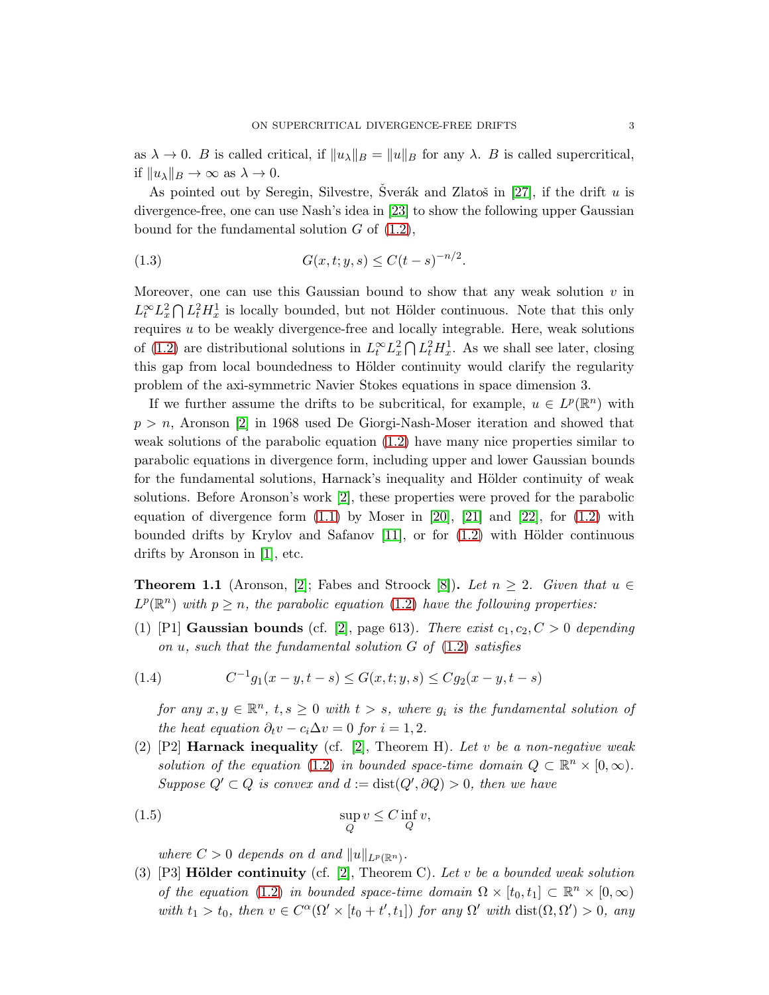as  $\lambda \to 0$ . B is called critical, if  $||u_{\lambda}||_B = ||u||_B$  for any  $\lambda$ . B is called supercritical, if  $||u_\lambda||_B \to \infty$  as  $\lambda \to 0$ .

As pointed out by Seregin, Silvestre, Sverák and Zlatoš in [\[27\]](#page-24-0), if the drift  $u$  is divergence-free, one can use Nash's idea in [\[23\]](#page-24-1) to show the following upper Gaussian bound for the fundamental solution  $G$  of  $(1.2)$ ,

<span id="page-2-2"></span>(1.3) 
$$
G(x, t; y, s) \le C(t - s)^{-n/2}.
$$

Moreover, one can use this Gaussian bound to show that any weak solution  $v$  in  $L_t^{\infty} L_x^2 \bigcap L_t^2 H_x^1$  is locally bounded, but not Hölder continuous. Note that this only requires  $u$  to be weakly divergence-free and locally integrable. Here, weak solutions of [\(1.2\)](#page-1-0) are distributional solutions in  $L_t^{\infty} L_x^2 \bigcap L_t^2 H_x^1$ . As we shall see later, closing this gap from local boundedness to Hölder continuity would clarify the regularity problem of the axi-symmetric Navier Stokes equations in space dimension 3.

If we further assume the drifts to be subcritical, for example,  $u \in L^p(\mathbb{R}^n)$  with  $p > n$ , Aronson [\[2\]](#page-23-2) in 1968 used De Giorgi-Nash-Moser iteration and showed that weak solutions of the parabolic equation [\(1.2\)](#page-1-0) have many nice properties similar to parabolic equations in divergence form, including upper and lower Gaussian bounds for the fundamental solutions, Harnack's inequality and Hölder continuity of weak solutions. Before Aronson's work [\[2\]](#page-23-2), these properties were proved for the parabolic equation of divergence form  $(1.1)$  by Moser in [\[20\]](#page-24-3), [\[21\]](#page-24-4) and [\[22\]](#page-24-5), for  $(1.2)$  with bounded drifts by Krylov and Safanov  $[11]$ , or for  $(1.2)$  with Hölder continuous drifts by Aronson in [\[1\]](#page-23-3), etc.

<span id="page-2-0"></span>**Theorem 1.1** (Aronson, [\[2\]](#page-23-2); Fabes and Stroock [\[8\]](#page-23-4)). Let  $n \geq 2$ . Given that  $u \in$  $L^p(\mathbb{R}^n)$  with  $p \geq n$ , the parabolic equation [\(1.2\)](#page-1-0) have the following properties:

(1) [P1] **Gaussian bounds** (cf. [\[2\]](#page-23-2), page 613). There exist  $c_1, c_2, C > 0$  depending *on* u*, such that the fundamental solution* G *of* [\(1.2\)](#page-1-0) *satisfies*

(1.4) 
$$
C^{-1}g_1(x-y,t-s) \le G(x,t;y,s) \le Cg_2(x-y,t-s)
$$

<span id="page-2-1"></span>*for any*  $x, y \in \mathbb{R}^n$ ,  $t, s \geq 0$  *with*  $t > s$ , *where*  $g_i$  *is the fundamental solution of the heat equation*  $\partial_t v - c_i \Delta v = 0$  *for*  $i = 1, 2$ *.* 

(2) [P2] Harnack inequality (cf. [\[2\]](#page-23-2), Theorem H)*. Let* v *be a non-negative weak solution of the equation* [\(1.2\)](#page-1-0) *in bounded space-time domain*  $Q \subset \mathbb{R}^n \times [0, \infty)$ *.*  $Suppose Q' \subset Q$  *is convex and*  $d := dist(Q', \partial Q) > 0$ *, then we have* 

(1.5) 
$$
\sup_{Q} v \leq C \inf_{Q} v,
$$

<span id="page-2-3"></span>where  $C > 0$  depends on d and  $||u||_{L^p(\mathbb{R}^n)}$ .

(3)  $[P3]$  **Hölder continuity** (cf.  $[2]$ , Theorem C)*. Let* v *be a bounded weak solution of the equation* [\(1.2\)](#page-1-0) *in bounded space-time domain*  $\Omega \times [t_0, t_1] \subset \mathbb{R}^n \times [0, \infty)$ with  $t_1 > t_0$ , then  $v \in C^{\alpha}(\Omega' \times [t_0 + t', t_1])$  *for any*  $\Omega'$  *with*  $dist(\Omega, \Omega') > 0$ , *any*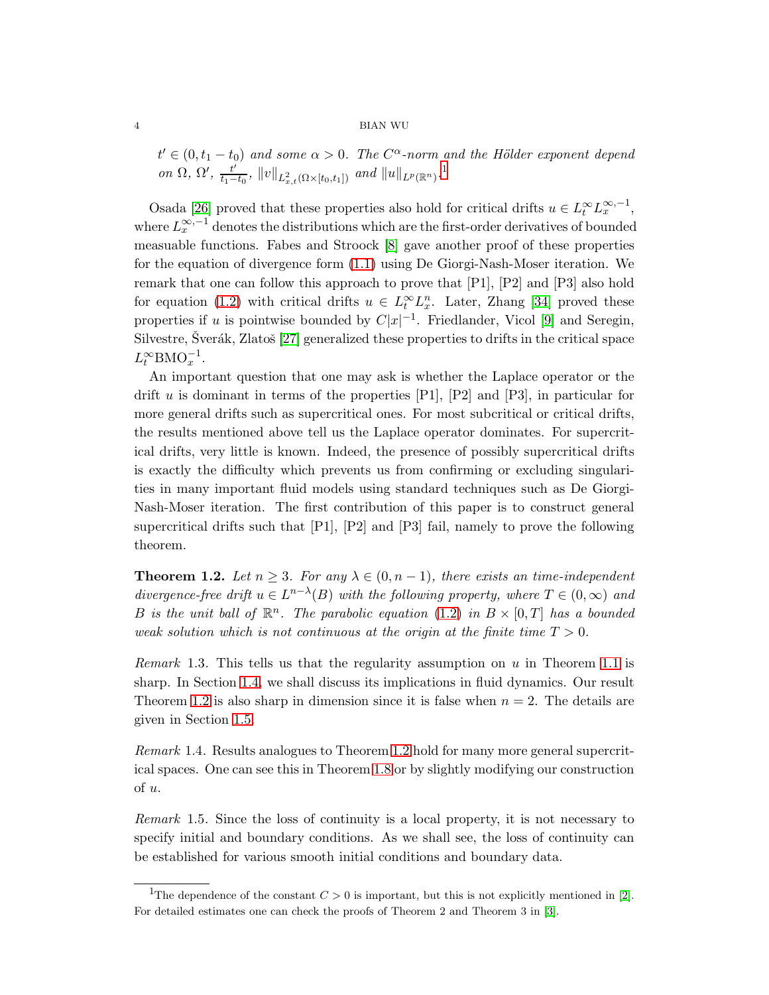$t' \in (0, t_1 - t_0)$  and some  $\alpha > 0$ . The  $C^{\alpha}$ -norm and the Hölder exponent depend *on*  $\Omega$ ,  $\Omega'$ ,  $\frac{t'}{t_1-t}$  $\frac{t'}{t_1-t_0}$  $\frac{t'}{t_1-t_0}$  $\frac{t'}{t_1-t_0}$ ,  $||v||_{L^2_{x,t}(\Omega \times [t_0,t_1])}$  *and*  $||u||_{L^p(\mathbb{R}^n)}$ .<sup>1</sup>

Osada [\[26\]](#page-24-6) proved that these properties also hold for critical drifts  $u \in L_t^{\infty} L_x^{\infty,-1}$ , where  $L_x^{\infty,-1}$  denotes the distributions which are the first-order derivatives of bounded measuable functions. Fabes and Stroock [\[8\]](#page-23-4) gave another proof of these properties for the equation of divergence form [\(1.1\)](#page-0-0) using De Giorgi-Nash-Moser iteration. We remark that one can follow this approach to prove that [P1], [P2] and [P3] also hold for equation [\(1.2\)](#page-1-0) with critical drifts  $u \in L_t^{\infty} L_x^n$ . Later, Zhang [\[34\]](#page-24-7) proved these properties if u is pointwise bounded by  $C|x|^{-1}$ . Friedlander, Vicol [\[9\]](#page-23-5) and Seregin, Silvestre, Šverák, Zlatoš [\[27\]](#page-24-0) generalized these properties to drifts in the critical space  $L_t^{\infty}$ BMO<sub>x</sub><sup>-1</sup>.

An important question that one may ask is whether the Laplace operator or the drift u is dominant in terms of the properties  $[P1]$ ,  $[P2]$  and  $[P3]$ , in particular for more general drifts such as supercritical ones. For most subcritical or critical drifts, the results mentioned above tell us the Laplace operator dominates. For supercritical drifts, very little is known. Indeed, the presence of possibly supercritical drifts is exactly the difficulty which prevents us from confirming or excluding singularities in many important fluid models using standard techniques such as De Giorgi-Nash-Moser iteration. The first contribution of this paper is to construct general supercritical drifts such that  $[P1]$ ,  $[P2]$  and  $[P3]$  fail, namely to prove the following theorem.

<span id="page-3-1"></span>**Theorem 1.2.** Let  $n \geq 3$ . For any  $\lambda \in (0, n-1)$ , there exists an time-independent *divergence-free drift*  $u \in L^{n-\lambda}(B)$  *with the following property, where*  $T \in (0, \infty)$  *and* B is the unit ball of  $\mathbb{R}^n$ . The parabolic equation [\(1.2\)](#page-1-0) in  $B \times [0, T]$  has a bounded *weak solution which is not continuous at the origin at the finite time*  $T > 0$ *.* 

*Remark* 1.3*.* This tells us that the regularity assumption on u in Theorem [1.1](#page-2-0) is sharp. In Section [1.4,](#page-5-0) we shall discuss its implications in fluid dynamics. Our result Theorem [1.2](#page-3-1) is also sharp in dimension since it is false when  $n = 2$ . The details are given in Section [1.5.](#page-6-0)

*Remark* 1.4*.* Results analogues to Theorem [1.2](#page-3-1) hold for many more general supercritical spaces. One can see this in Theorem [1.8](#page-6-1) or by slightly modifying our construction of u.

*Remark* 1.5*.* Since the loss of continuity is a local property, it is not necessary to specify initial and boundary conditions. As we shall see, the loss of continuity can be established for various smooth initial conditions and boundary data.

<span id="page-3-0"></span><sup>&</sup>lt;sup>1</sup>The dependence of the constant  $C > 0$  is important, but this is not explicitly mentioned in [\[2\]](#page-23-2). For detailed estimates one can check the proofs of Theorem 2 and Theorem 3 in [\[3\]](#page-23-6).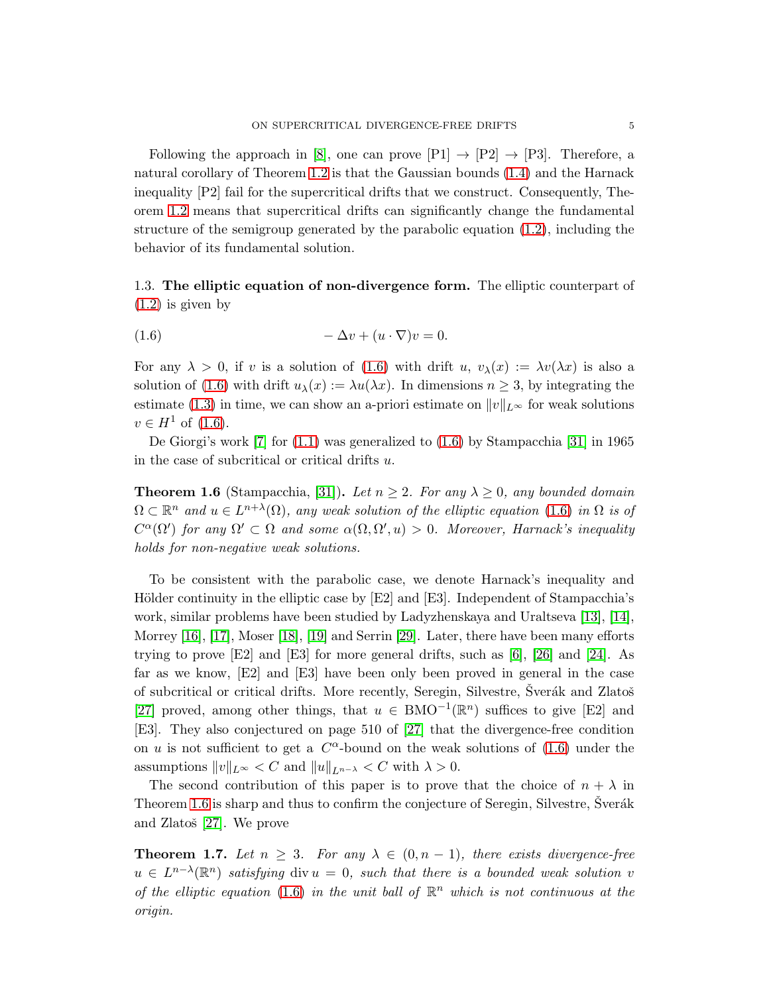Following the approach in [\[8\]](#page-23-4), one can prove  $[P1] \rightarrow [P2] \rightarrow [P3]$ . Therefore, a natural corollary of Theorem [1.2](#page-3-1) is that the Gaussian bounds [\(1.4\)](#page-2-1) and the Harnack inequality [P2] fail for the supercritical drifts that we construct. Consequently, Theorem [1.2](#page-3-1) means that supercritical drifts can significantly change the fundamental structure of the semigroup generated by the parabolic equation [\(1.2\)](#page-1-0), including the behavior of its fundamental solution.

1.3. The elliptic equation of non-divergence form. The elliptic counterpart of [\(1.2\)](#page-1-0) is given by

<span id="page-4-0"></span>
$$
(1.6) \t -\Delta v + (u \cdot \nabla)v = 0.
$$

For any  $\lambda > 0$ , if v is a solution of [\(1.6\)](#page-4-0) with drift u,  $v_{\lambda}(x) := \lambda v(\lambda x)$  is also a solution of [\(1.6\)](#page-4-0) with drift  $u_\lambda(x) := \lambda u(\lambda x)$ . In dimensions  $n \geq 3$ , by integrating the estimate [\(1.3\)](#page-2-2) in time, we can show an a-priori estimate on  $||v||_{L^{\infty}}$  for weak solutions  $v \in H^1$  of  $(1.6)$ .

<span id="page-4-1"></span>De Giorgi's work  $[7]$  for  $(1.1)$  was generalized to  $(1.6)$  by Stampacchia  $[31]$  in 1965 in the case of subcritical or critical drifts u.

**Theorem 1.6** (Stampacchia, [\[31\]](#page-24-8)). Let  $n \geq 2$ . For any  $\lambda \geq 0$ , any bounded domain  $\Omega \subset \mathbb{R}^n$  and  $u \in L^{n+\lambda}(\Omega)$ , any weak solution of the elliptic equation [\(1.6\)](#page-4-0) in  $\Omega$  is of  $C^{\alpha}(\Omega')$  for any  $\Omega' \subset \Omega$  and some  $\alpha(\Omega, \Omega', u) > 0$ . Moreover, Harnack's inequality *holds for non-negative weak solutions.*

To be consistent with the parabolic case, we denote Harnack's inequality and Hölder continuity in the elliptic case by  $|E2|$  and  $|E3|$ . Independent of Stampacchia's work, similar problems have been studied by Ladyzhenskaya and Uraltseva [\[13\]](#page-23-7), [\[14\]](#page-23-8), Morrey [\[16\]](#page-23-9), [\[17\]](#page-23-10), Moser [\[18\]](#page-24-2), [\[19\]](#page-24-9) and Serrin [\[29\]](#page-24-10). Later, there have been many efforts trying to prove [E2] and [E3] for more general drifts, such as [\[6\]](#page-23-11), [\[26\]](#page-24-6) and [\[24\]](#page-24-11). As far as we know, [E2] and [E3] have been only been proved in general in the case of subcritical or critical drifts. More recently, Seregin, Silvestre, Šverák and Zlatoš [\[27\]](#page-24-0) proved, among other things, that  $u \in BMO^{-1}(\mathbb{R}^n)$  suffices to give [E2] and [E3]. They also conjectured on page 510 of [\[27\]](#page-24-0) that the divergence-free condition on u is not sufficient to get a  $C^{\alpha}$ -bound on the weak solutions of [\(1.6\)](#page-4-0) under the assumptions  $||v||_{L^{\infty}} < C$  and  $||u||_{L^{n-\lambda}} < C$  with  $\lambda > 0$ .

The second contribution of this paper is to prove that the choice of  $n + \lambda$  in Theorem [1.6](#page-4-1) is sharp and thus to confirm the conjecture of Seregin, Silvestre, Šverák and Zlatoš  $[27]$ . We prove

<span id="page-4-2"></span>**Theorem 1.7.** Let  $n \geq 3$ . For any  $\lambda \in (0, n - 1)$ , there exists divergence-free  $u \in L^{n-\lambda}(\mathbb{R}^n)$  satisfying div  $u = 0$ , such that there is a bounded weak solution v of the elliptic equation [\(1.6\)](#page-4-0) in the unit ball of  $\mathbb{R}^n$  which is not continuous at the *origin.*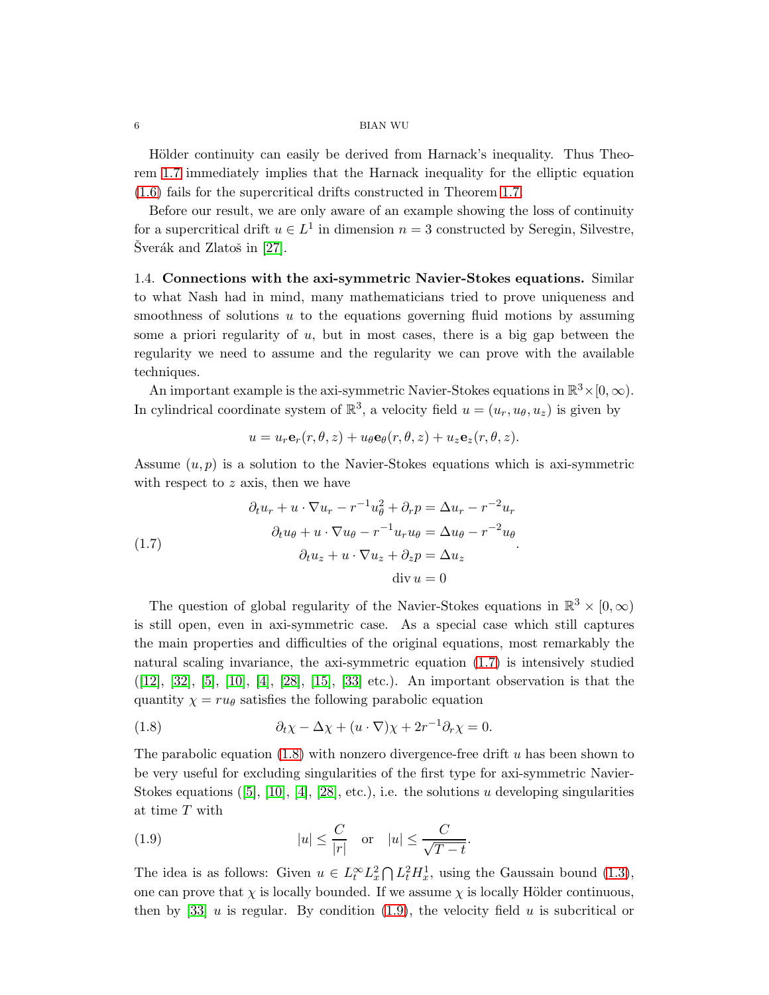Hölder continuity can easily be derived from Harnack's inequality. Thus Theorem [1.7](#page-4-2) immediately implies that the Harnack inequality for the elliptic equation [\(1.6\)](#page-4-0) fails for the supercritical drifts constructed in Theorem [1.7.](#page-4-2)

Before our result, we are only aware of an example showing the loss of continuity for a supercritical drift  $u \in L^1$  in dimension  $n = 3$  constructed by Seregin, Silvestre,  $\text{Sverák}$  and Zlatoš in [\[27\]](#page-24-0).

<span id="page-5-0"></span>1.4. Connections with the axi-symmetric Navier-Stokes equations. Similar to what Nash had in mind, many mathematicians tried to prove uniqueness and smoothness of solutions  $u$  to the equations governing fluid motions by assuming some a priori regularity of  $u$ , but in most cases, there is a big gap between the regularity we need to assume and the regularity we can prove with the available techniques.

An important example is the axi-symmetric Navier-Stokes equations in  $\mathbb{R}^3 \times [0, \infty)$ . In cylindrical coordinate system of  $\mathbb{R}^3$ , a velocity field  $u = (u_r, u_\theta, u_z)$  is given by

$$
u = u_r \mathbf{e}_r(r, \theta, z) + u_{\theta} \mathbf{e}_{\theta}(r, \theta, z) + u_z \mathbf{e}_z(r, \theta, z).
$$

Assume  $(u, p)$  is a solution to the Navier-Stokes equations which is axi-symmetric with respect to  $z$  axis, then we have

<span id="page-5-1"></span>(1.7) 
$$
\partial_t u_r + u \cdot \nabla u_r - r^{-1} u_\theta^2 + \partial_r p = \Delta u_r - r^{-2} u_r
$$

$$
\partial_t u_\theta + u \cdot \nabla u_\theta - r^{-1} u_r u_\theta = \Delta u_\theta - r^{-2} u_\theta
$$

$$
\partial_t u_z + u \cdot \nabla u_z + \partial_z p = \Delta u_z
$$

$$
\text{div } u = 0
$$

The question of global regularity of the Navier-Stokes equations in  $\mathbb{R}^3 \times [0, \infty)$ is still open, even in axi-symmetric case. As a special case which still captures the main properties and difficulties of the original equations, most remarkably the natural scaling invariance, the axi-symmetric equation [\(1.7\)](#page-5-1) is intensively studied  $([12], [32], [5], [10], [4], [28], [15], [33]$  $([12], [32], [5], [10], [4], [28], [15], [33]$  $([12], [32], [5], [10], [4], [28], [15], [33]$  $([12], [32], [5], [10], [4], [28], [15], [33]$  $([12], [32], [5], [10], [4], [28], [15], [33]$  $([12], [32], [5], [10], [4], [28], [15], [33]$  $([12], [32], [5], [10], [4], [28], [15], [33]$  $([12], [32], [5], [10], [4], [28], [15], [33]$  $([12], [32], [5], [10], [4], [28], [15], [33]$  $([12], [32], [5], [10], [4], [28], [15], [33]$  $([12], [32], [5], [10], [4], [28], [15], [33]$  $([12], [32], [5], [10], [4], [28], [15], [33]$  $([12], [32], [5], [10], [4], [28], [15], [33]$  $([12], [32], [5], [10], [4], [28], [15], [33]$  $([12], [32], [5], [10], [4], [28], [15], [33]$  $([12], [32], [5], [10], [4], [28], [15], [33]$  etc.). An important observation is that the quantity  $\chi = ru_\theta$  satisfies the following parabolic equation

<span id="page-5-2"></span>(1.8) 
$$
\partial_t \chi - \Delta \chi + (u \cdot \nabla) \chi + 2r^{-1} \partial_r \chi = 0.
$$

The parabolic equation  $(1.8)$  with nonzero divergence-free drift u has been shown to be very useful for excluding singularities of the first type for axi-symmetric Navier-Stokesequations ([\[5\]](#page-23-13), [\[10\]](#page-23-14), [\[4\]](#page-23-15), [\[28\]](#page-24-13), etc.), i.e. the solutions u developing singularities at time T with

<span id="page-5-3"></span>(1.9) 
$$
|u| \leq \frac{C}{|r|} \quad \text{or} \quad |u| \leq \frac{C}{\sqrt{T-t}}.
$$

The idea is as follows: Given  $u \in L_t^{\infty} L_x^2 \cap L_t^2 H_x^1$ , using the Gaussain bound [\(1.3\)](#page-2-2), one can prove that  $\chi$  is locally bounded. If we assume  $\chi$  is locally Hölder continuous, then by [\[33\]](#page-24-14)  $u$  is regular. By condition [\(1.9\)](#page-5-3), the velocity field  $u$  is subcritical or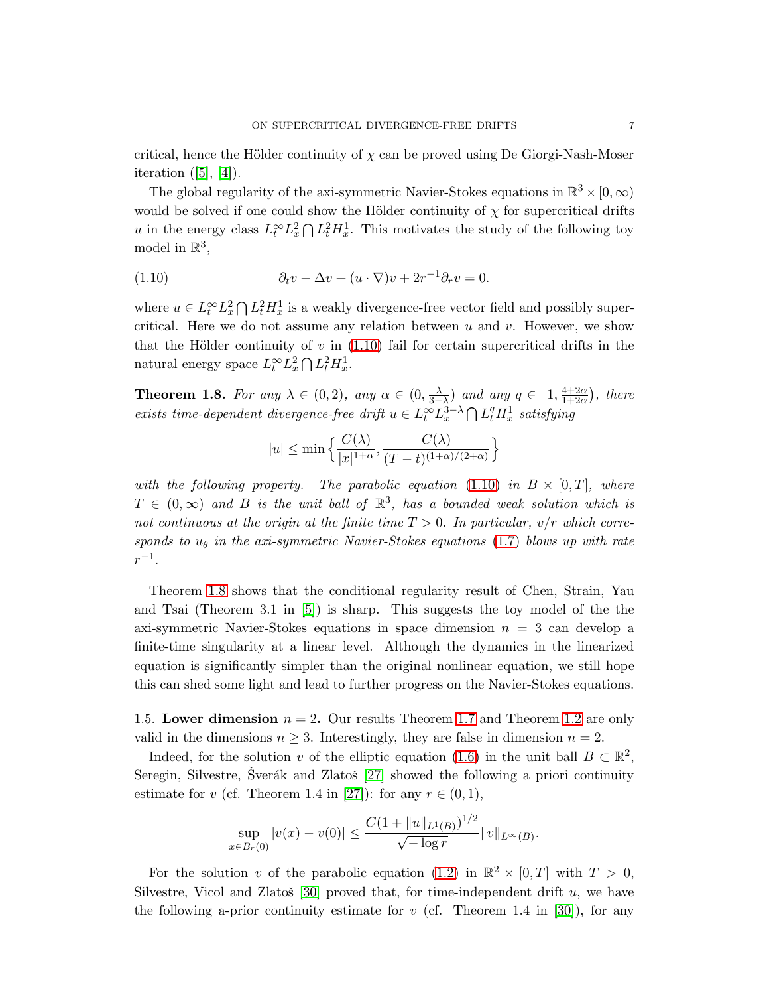critical, hence the Hölder continuity of  $\chi$  can be proved using De Giorgi-Nash-Moser iteration $([5], [4])$  $([5], [4])$  $([5], [4])$  $([5], [4])$  $([5], [4])$ .

The global regularity of the axi-symmetric Navier-Stokes equations in  $\mathbb{R}^3 \times [0, \infty)$ would be solved if one could show the Hölder continuity of  $\chi$  for supercritical drifts u in the energy class  $L_t^{\infty} L_x^2 \cap L_t^2 H_x^1$ . This motivates the study of the following toy model in  $\mathbb{R}^3$ ,

<span id="page-6-2"></span>(1.10) 
$$
\partial_t v - \Delta v + (u \cdot \nabla)v + 2r^{-1}\partial_r v = 0.
$$

where  $u \in L_t^{\infty} L_x^2 \cap L_t^2 H_x^1$  is a weakly divergence-free vector field and possibly supercritical. Here we do not assume any relation between u and v. However, we show that the Hölder continuity of  $v$  in [\(1.10\)](#page-6-2) fail for certain supercritical drifts in the natural energy space  $L_t^{\infty} L_x^2 \bigcap L_t^2 H_x^1$ .

<span id="page-6-1"></span>**Theorem 1.8.** *For any*  $\lambda \in (0, 2)$ *, any*  $\alpha \in (0, \frac{\lambda}{3-1})$  $\frac{\lambda}{3-\lambda}$ ) *and any*  $q \in [1, \frac{4+2\alpha}{1+2\alpha}]$  $\frac{4+2\alpha}{1+2\alpha}$ , there *exists time-dependent divergence-free drift*  $u \in L_t^{\infty} L_x^{3-\lambda} \cap L_t^q H_x^1$  *satisfying* 

$$
|u| \le \min\left\{\frac{C(\lambda)}{|x|^{1+\alpha}}, \frac{C(\lambda)}{(T-t)^{(1+\alpha)/(2+\alpha)}}\right\}
$$

*with the following property. The parabolic equation*  $(1.10)$  *in*  $B \times [0,T]$ *, where*  $T \in (0, \infty)$  and B is the unit ball of  $\mathbb{R}^3$ , has a bounded weak solution which is *not continuous at the origin at the finite time* T > 0*. In particular,* v/r *which corresponds to*  $u_{\theta}$  *in the axi-symmetric Navier-Stokes equations* [\(1.7\)](#page-5-1) *blows up with rate*  $r^{-1}$ .

Theorem [1.8](#page-6-1) shows that the conditional regularity result of Chen, Strain, Yau and Tsai (Theorem 3.1 in [\[5\]](#page-23-13)) is sharp. This suggests the toy model of the the axi-symmetric Navier-Stokes equations in space dimension  $n = 3$  can develop a finite-time singularity at a linear level. Although the dynamics in the linearized equation is significantly simpler than the original nonlinear equation, we still hope this can shed some light and lead to further progress on the Navier-Stokes equations.

<span id="page-6-0"></span>1.5. Lower dimension  $n = 2$ . Our results Theorem [1.7](#page-4-2) and Theorem [1.2](#page-3-1) are only valid in the dimensions  $n \geq 3$ . Interestingly, they are false in dimension  $n = 2$ .

Indeed, for the solution v of the elliptic equation [\(1.6\)](#page-4-0) in the unit ball  $B \subset \mathbb{R}^2$ , Seregin, Silvestre, Sverák and Zlatoš  $[27]$  showed the following a priori continuity estimate for v (cf. Theorem 1.4 in [\[27\]](#page-24-0)): for any  $r \in (0,1)$ ,

$$
\sup_{x \in B_r(0)} |v(x) - v(0)| \le \frac{C(1 + \|u\|_{L^1(B)})^{1/2}}{\sqrt{-\log r}} \|v\|_{L^\infty(B)}.
$$

For the solution v of the parabolic equation [\(1.2\)](#page-1-0) in  $\mathbb{R}^2 \times [0,T]$  with  $T > 0$ , Silvestre, Vicol and Zlatoš [\[30\]](#page-24-15) proved that, for time-independent drift  $u$ , we have the following a-prior continuity estimate for  $v$  (cf. Theorem 1.4 in [\[30\]](#page-24-15)), for any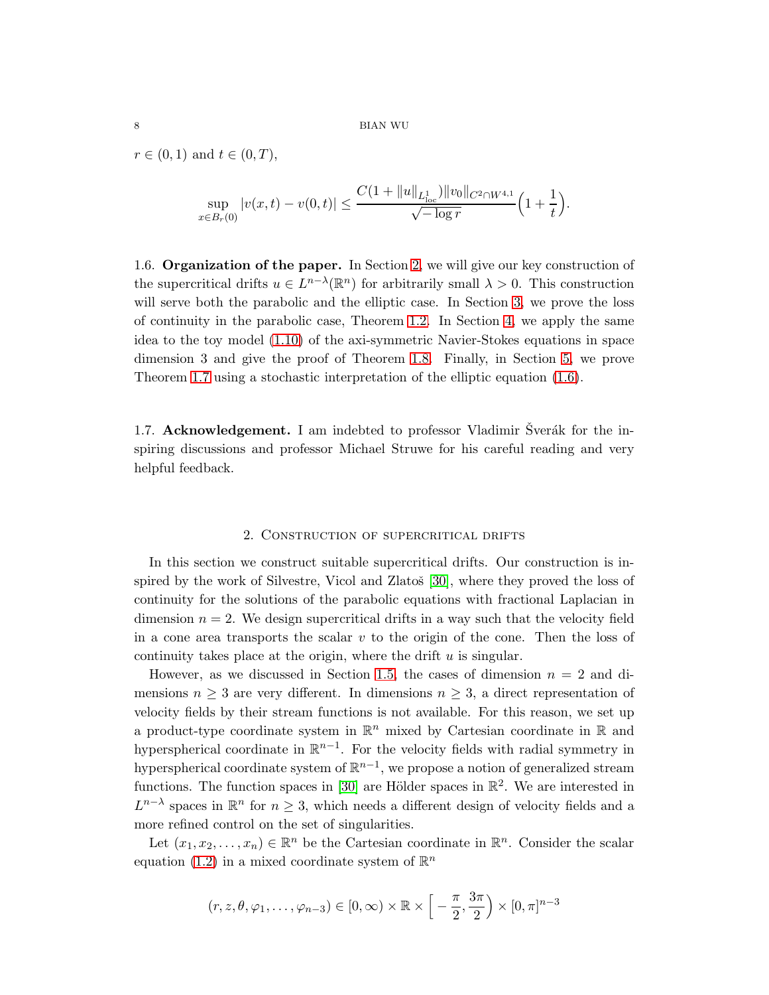$r \in (0, 1)$  and  $t \in (0, T)$ ,

$$
\sup_{x \in B_r(0)} |v(x,t) - v(0,t)| \leq \frac{C(1 + \|u\|_{L^1_{loc}}) \|v_0\|_{C^2 \cap W^{4,1}}}{\sqrt{-\log r}} \Big(1 + \frac{1}{t}\Big).
$$

1.6. Organization of the paper. In Section [2,](#page-7-0) we will give our key construction of the supercritical drifts  $u \in L^{n-\lambda}(\mathbb{R}^n)$  for arbitrarily small  $\lambda > 0$ . This construction will serve both the parabolic and the elliptic case. In Section [3,](#page-10-0) we prove the loss of continuity in the parabolic case, Theorem [1.2.](#page-3-1) In Section [4,](#page-15-0) we apply the same idea to the toy model [\(1.10\)](#page-6-2) of the axi-symmetric Navier-Stokes equations in space dimension 3 and give the proof of Theorem [1.8.](#page-6-1) Finally, in Section [5,](#page-17-0) we prove Theorem [1.7](#page-4-2) using a stochastic interpretation of the elliptic equation [\(1.6\)](#page-4-0).

1.7. Acknowledgement. I am indebted to professor Vladimir Sverák for the inspiring discussions and professor Michael Struwe for his careful reading and very helpful feedback.

## 2. Construction of supercritical drifts

<span id="page-7-0"></span>In this section we construct suitable supercritical drifts. Our construction is inspired by the work of Silvestre, Vicol and Zlatoš  $[30]$ , where they proved the loss of continuity for the solutions of the parabolic equations with fractional Laplacian in dimension  $n = 2$ . We design supercritical drifts in a way such that the velocity field in a cone area transports the scalar  $v$  to the origin of the cone. Then the loss of continuity takes place at the origin, where the drift  $u$  is singular.

However, as we discussed in Section [1.5,](#page-6-0) the cases of dimension  $n = 2$  and dimensions  $n \geq 3$  are very different. In dimensions  $n \geq 3$ , a direct representation of velocity fields by their stream functions is not available. For this reason, we set up a product-type coordinate system in  $\mathbb{R}^n$  mixed by Cartesian coordinate in  $\mathbb R$  and hyperspherical coordinate in  $\mathbb{R}^{n-1}$ . For the velocity fields with radial symmetry in hyperspherical coordinate system of  $\mathbb{R}^{n-1}$ , we propose a notion of generalized stream functions. The function spaces in [\[30\]](#page-24-15) are Hölder spaces in  $\mathbb{R}^2$ . We are interested in  $L^{n-\lambda}$  spaces in  $\mathbb{R}^n$  for  $n \geq 3$ , which needs a different design of velocity fields and a more refined control on the set of singularities.

Let  $(x_1, x_2, \ldots, x_n) \in \mathbb{R}^n$  be the Cartesian coordinate in  $\mathbb{R}^n$ . Consider the scalar equation [\(1.2\)](#page-1-0) in a mixed coordinate system of  $\mathbb{R}^n$ 

$$
(r, z, \theta, \varphi_1, \dots, \varphi_{n-3}) \in [0, \infty) \times \mathbb{R} \times \left[ -\frac{\pi}{2}, \frac{3\pi}{2} \right) \times [0, \pi]^{n-3}
$$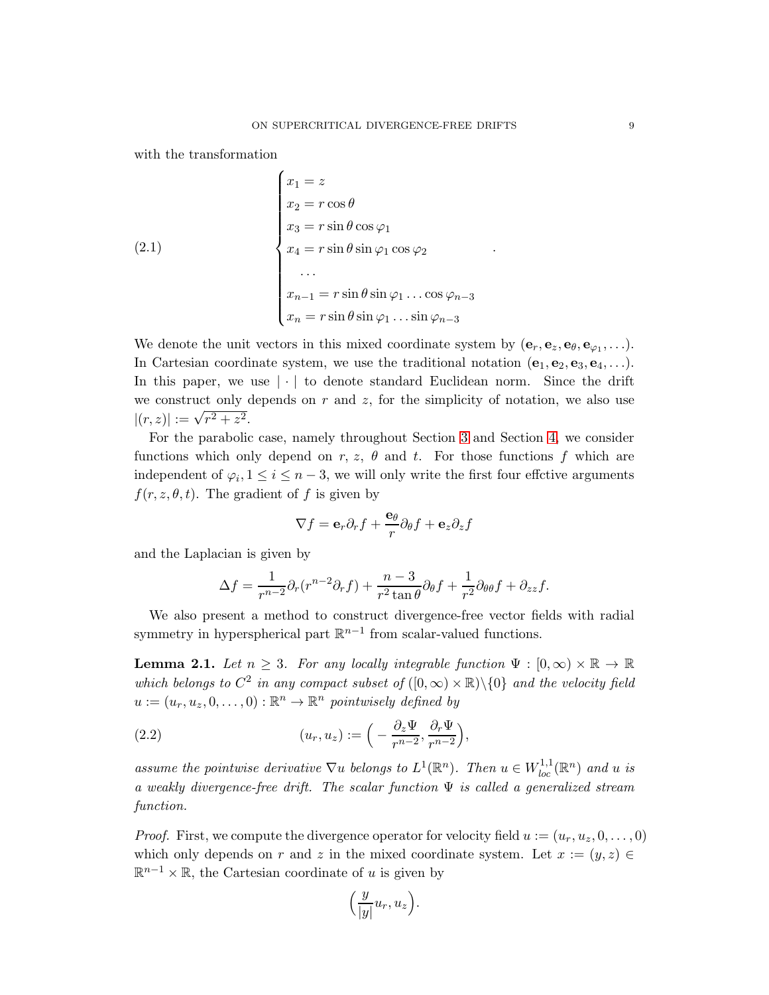.

with the transformation

(2.1)  
\n
$$
\begin{cases}\nx_1 = z \\
x_2 = r \cos \theta \\
x_3 = r \sin \theta \cos \varphi_1 \\
x_4 = r \sin \theta \sin \varphi_1 \cos \varphi_2 \\
\dots \\
x_{n-1} = r \sin \theta \sin \varphi_1 \dots \cos \varphi_{n-3} \\
x_n = r \sin \theta \sin \varphi_1 \dots \sin \varphi_{n-3}\n\end{cases}
$$

We denote the unit vectors in this mixed coordinate system by  $(e_r, e_z, e_\theta, e_{\varphi_1}, \ldots)$ . In Cartesian coordinate system, we use the traditional notation  $(e_1, e_2, e_3, e_4, \ldots)$ . In this paper, we use  $|\cdot|$  to denote standard Euclidean norm. Since the drift we construct only depends on r and z, for the simplicity of notation, we also use  $|(r, z)| := \sqrt{r^2 + z^2}.$ 

For the parabolic case, namely throughout Section [3](#page-10-0) and Section [4,](#page-15-0) we consider functions which only depend on r, z,  $\theta$  and t. For those functions f which are independent of  $\varphi_i, 1 \leq i \leq n-3$ , we will only write the first four effctive arguments  $f(r, z, \theta, t)$ . The gradient of f is given by

$$
\nabla f = \mathbf{e}_r \partial_r f + \frac{\mathbf{e}_\theta}{r} \partial_\theta f + \mathbf{e}_z \partial_z f
$$

and the Laplacian is given by

$$
\Delta f = \frac{1}{r^{n-2}} \partial_r (r^{n-2} \partial_r f) + \frac{n-3}{r^2 \tan \theta} \partial_\theta f + \frac{1}{r^2} \partial_{\theta \theta} f + \partial_{zz} f.
$$

We also present a method to construct divergence-free vector fields with radial symmetry in hyperspherical part  $\mathbb{R}^{n-1}$  from scalar-valued functions.

**Lemma 2.1.** *Let*  $n \geq 3$ *. For any locally integrable function*  $\Psi : [0, \infty) \times \mathbb{R} \to \mathbb{R}$ *which belongs to*  $C^2$  *in any compact subset of*  $([0, \infty) \times \mathbb{R}) \setminus \{0\}$  *and the velocity field*  $u := (u_r, u_z, 0, \dots, 0) : \mathbb{R}^n \to \mathbb{R}^n$  pointwisely defined by

<span id="page-8-0"></span>(2.2) 
$$
(u_r, u_z) := \left(-\frac{\partial_z \Psi}{r^{n-2}}, \frac{\partial_r \Psi}{r^{n-2}}\right),
$$

assume the pointwise derivative  $\nabla u$  belongs to  $L^1(\mathbb{R}^n)$ . Then  $u \in W^{1,1}_{loc}(\mathbb{R}^n)$  and  $u$  is *a weakly divergence-free drift. The scalar function* Ψ *is called a generalized stream function.*

*Proof.* First, we compute the divergence operator for velocity field  $u := (u_r, u_z, 0, \dots, 0)$ which only depends on r and z in the mixed coordinate system. Let  $x := (y, z) \in$  $\mathbb{R}^{n-1} \times \mathbb{R}$ , the Cartesian coordinate of u is given by

$$
\left(\frac{y}{|y|}u_r, u_z\right).
$$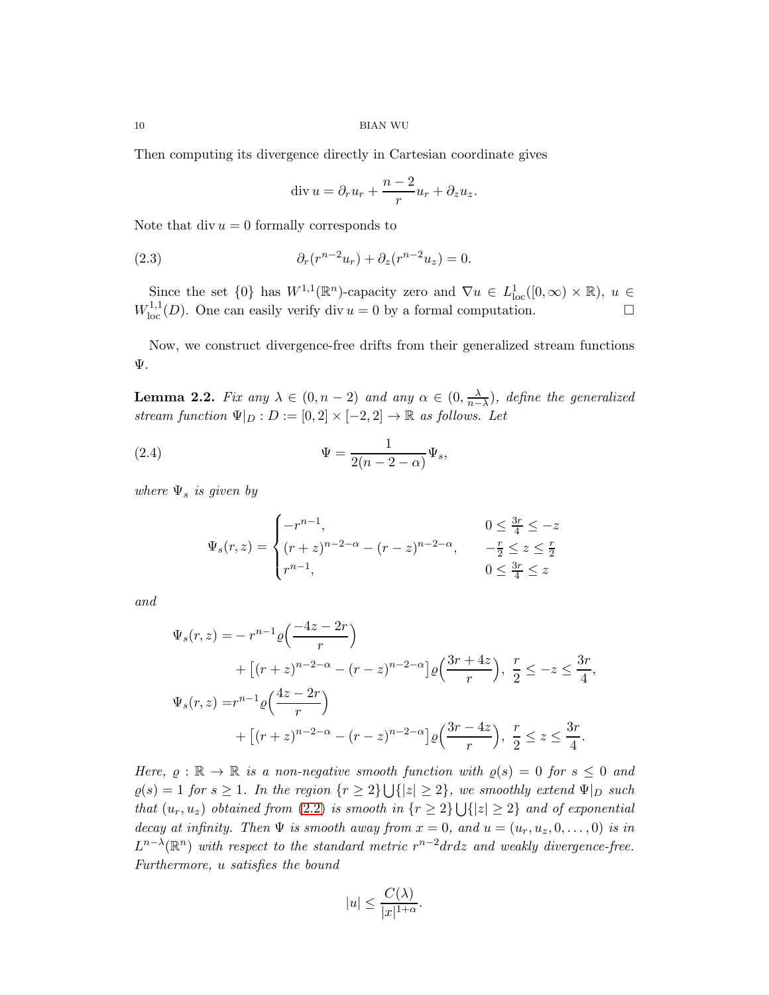Then computing its divergence directly in Cartesian coordinate gives

$$
\operatorname{div} u = \partial_r u_r + \frac{n-2}{r} u_r + \partial_z u_z.
$$

Note that div  $u = 0$  formally corresponds to

(2.3) 
$$
\partial_r(r^{n-2}u_r) + \partial_z(r^{n-2}u_z) = 0.
$$

Since the set  $\{0\}$  has  $W^{1,1}(\mathbb{R}^n)$ -capacity zero and  $\nabla u \in L^1_{loc}([0,\infty) \times \mathbb{R})$ ,  $u \in$  $W^{1,1}_{loc}(D)$ . One can easily verify div  $u = 0$  by a formal computation.

<span id="page-9-0"></span>Now, we construct divergence-free drifts from their generalized stream functions Ψ.

**Lemma 2.2.** *Fix any*  $\lambda \in (0, n-2)$  *and any*  $\alpha \in (0, \frac{\lambda}{n-1})$  $\frac{\lambda}{n-\lambda}$ )*, define the generalized stream function*  $\Psi|_D : D := [0,2] \times [-2,2] \rightarrow \mathbb{R}$  *as follows. Let* 

<span id="page-9-1"></span>(2.4) 
$$
\Psi = \frac{1}{2(n-2-\alpha)} \Psi_s,
$$

*where*  $\Psi_s$  *is given by* 

$$
\Psi_s(r, z) = \begin{cases}\n-r^{n-1}, & 0 \le \frac{3r}{4} \le -z \\
(r + z)^{n-2-\alpha} - (r - z)^{n-2-\alpha}, & -\frac{r}{2} \le z \le \frac{r}{2} \\
r^{n-1}, & 0 \le \frac{3r}{4} \le z\n\end{cases}
$$

*and*

$$
\Psi_s(r, z) = -r^{n-1} \varrho \left( \frac{-4z - 2r}{r} \right)
$$
  
+  $\left[ (r + z)^{n-2-\alpha} - (r - z)^{n-2-\alpha} \right] \varrho \left( \frac{3r + 4z}{r} \right), \frac{r}{2} \le -z \le \frac{3r}{4},$   

$$
\Psi_s(r, z) = r^{n-1} \varrho \left( \frac{4z - 2r}{r} \right)
$$
  
+  $\left[ (r + z)^{n-2-\alpha} - (r - z)^{n-2-\alpha} \right] \varrho \left( \frac{3r - 4z}{r} \right), \frac{r}{2} \le z \le \frac{3r}{4}.$ 

*Here,*  $\varrho : \mathbb{R} \to \mathbb{R}$  *is a non-negative smooth function with*  $\varrho(s) = 0$  *for*  $s \leq 0$  *and*  $\varrho(s) = 1$  *for*  $s \ge 1$ *. In the region*  $\{r \ge 2\} \cup \{|z| \ge 2\}$ *, we smoothly extend*  $\Psi|_D$  *such that*  $(u_r, u_z)$  *obtained from* [\(2.2\)](#page-8-0) *is smooth in*  $\{r \geq 2\} \cup \{|z| \geq 2\}$  *and of exponential decay at infinity. Then*  $\Psi$  *is smooth away from*  $x = 0$ *, and*  $u = (u_r, u_z, 0, \dots, 0)$  *is in*  $L^{n-\lambda}(\mathbb{R}^n)$  with respect to the standard metric  $r^{n-2}drdz$  and weakly divergence-free. *Furthermore,* u *satisfies the bound*

$$
|u| \le \frac{C(\lambda)}{|x|^{1+\alpha}}.
$$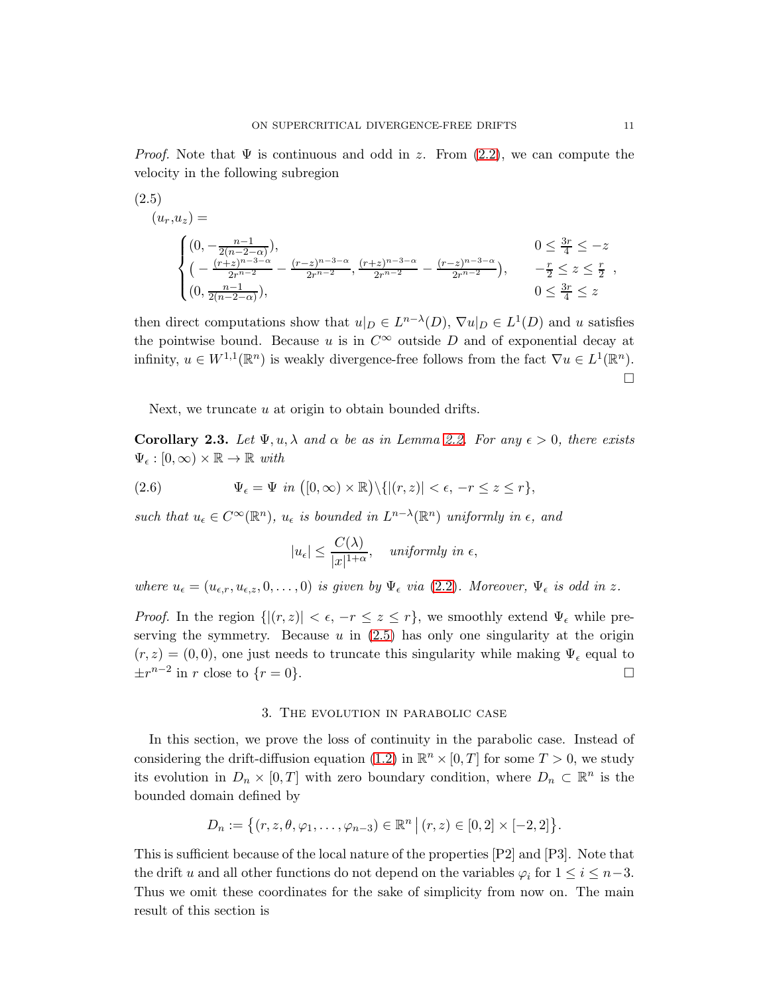*Proof.* Note that  $\Psi$  is continuous and odd in z. From  $(2.2)$ , we can compute the velocity in the following subregion

<span id="page-10-1"></span>
$$
(2.5)
$$
\n
$$
(u_r, u_z) = \n\begin{cases}\n(0, -\frac{n-1}{2(n-2-\alpha)}), & 0 \le \frac{3r}{4} \le -z \\
(-\frac{(r+z)^{n-3-\alpha}}{2r^{n-2}} - \frac{(r-z)^{n-3-\alpha}}{2r^{n-2}}, \frac{(r+z)^{n-3-\alpha}}{2r^{n-2}} - \frac{(r-z)^{n-3-\alpha}}{2r^{n-2}}), & -\frac{r}{2} \le z \le \frac{r}{2} \\
(0, \frac{n-1}{2(n-2-\alpha)}), & 0 \le \frac{3r}{4} \le z\n\end{cases}
$$

then direct computations show that  $u|_D \in L^{n-\lambda}(D)$ ,  $\nabla u|_D \in L^1(D)$  and u satisfies the pointwise bound. Because u is in  $C^{\infty}$  outside D and of exponential decay at infinity,  $u \in W^{1,1}(\mathbb{R}^n)$  is weakly divergence-free follows from the fact  $\nabla u \in L^1(\mathbb{R}^n)$ .  $\Box$ 

<span id="page-10-2"></span>Next, we truncate u at origin to obtain bounded drifts.

**Corollary 2.3.** Let  $\Psi, u, \lambda$  and  $\alpha$  be as in Lemma [2.2.](#page-9-0) For any  $\epsilon > 0$ , there exists  $\Psi_{\epsilon} : [0, \infty) \times \mathbb{R} \to \mathbb{R}$  with

(2.6) 
$$
\Psi_{\epsilon} = \Psi \, in \, ([0, \infty) \times \mathbb{R}) \setminus \{ |(r, z)| < \epsilon, -r \leq z \leq r \},
$$

*such that*  $u_{\epsilon} \in C^{\infty}(\mathbb{R}^n)$ ,  $u_{\epsilon}$  *is bounded in*  $L^{n-\lambda}(\mathbb{R}^n)$  *uniformly in*  $\epsilon$ *, and* 

<span id="page-10-4"></span>
$$
|u_{\epsilon}| \leq \frac{C(\lambda)}{|x|^{1+\alpha}}, \quad \text{uniformly in } \epsilon,
$$

*where*  $u_{\epsilon} = (u_{\epsilon,r}, u_{\epsilon,z}, 0, \ldots, 0)$  *is given by*  $\Psi_{\epsilon}$  *via* [\(2.2\)](#page-8-0)*. Moreover*,  $\Psi_{\epsilon}$  *is odd in* z.

*Proof.* In the region  $\{|(r, z)| < \epsilon, -r \leq z \leq r\}$ , we smoothly extend  $\Psi_{\epsilon}$  while preserving the symmetry. Because  $u$  in [\(2.5\)](#page-10-1) has only one singularity at the origin  $(r, z) = (0, 0)$ , one just needs to truncate this singularity while making  $\Psi_{\epsilon}$  equal to  $\pm r^{n-2}$  in r close to  $\{r=0\}.$ 

## 3. The evolution in parabolic case

<span id="page-10-0"></span>In this section, we prove the loss of continuity in the parabolic case. Instead of considering the drift-diffusion equation [\(1.2\)](#page-1-0) in  $\mathbb{R}^n \times [0,T]$  for some  $T > 0$ , we study its evolution in  $D_n \times [0,T]$  with zero boundary condition, where  $D_n \subset \mathbb{R}^n$  is the bounded domain defined by

$$
D_n := \{(r, z, \theta, \varphi_1, \dots, \varphi_{n-3}) \in \mathbb{R}^n \mid (r, z) \in [0, 2] \times [-2, 2] \}.
$$

<span id="page-10-3"></span>This is sufficient because of the local nature of the properties [P2] and [P3]. Note that the drift u and all other functions do not depend on the variables  $\varphi_i$  for  $1 \leq i \leq n-3$ . Thus we omit these coordinates for the sake of simplicity from now on. The main result of this section is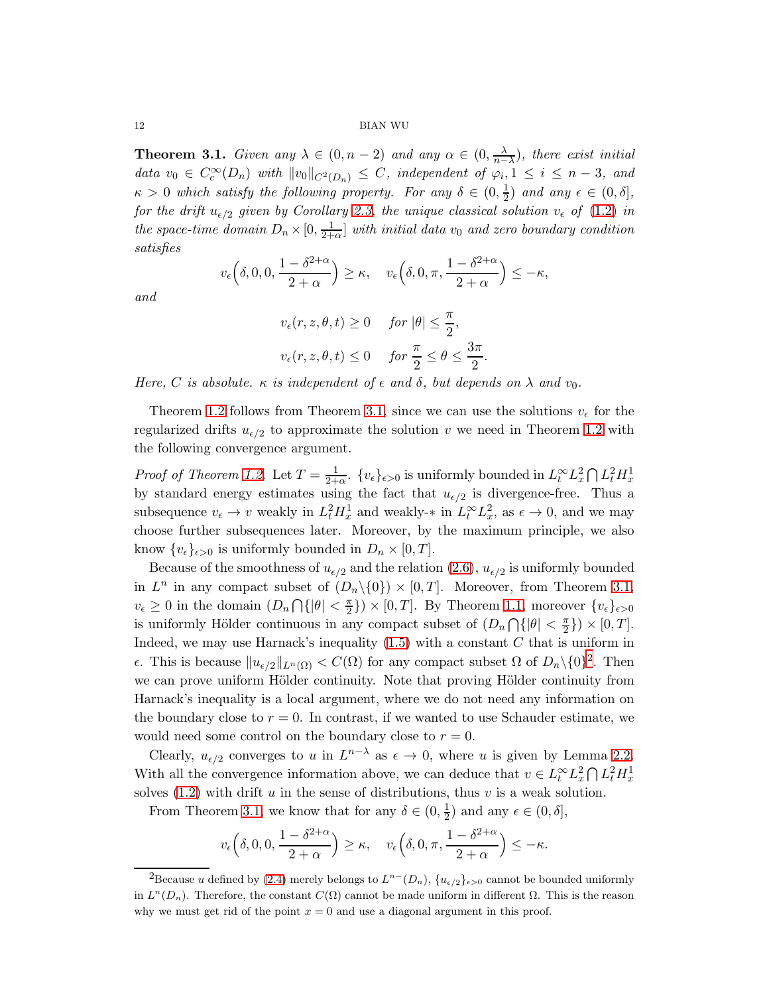**Theorem 3.1.** *Given any*  $\lambda \in (0, n-2)$  *and any*  $\alpha \in (0, \frac{\lambda}{n-2})$  $\frac{\lambda}{n-\lambda}$ )*, there exist initial data*  $v_0 \in C_c^{\infty}(D_n)$  *with*  $||v_0||_{C^2(D_n)} \leq C$ *, independent of*  $\varphi_i, 1 \leq i \leq n-3$ *, and*  $\kappa > 0$  which satisfy the following property. For any  $\delta \in (0, \frac{1}{2})$  $\frac{1}{2}$ *)* and any  $\epsilon \in (0, \delta],$ *for the drift*  $u_{\epsilon/2}$  *given by Corollary [2.3,](#page-10-2) the unique classical solution*  $v_{\epsilon}$  *of* [\(1.2\)](#page-1-0) *in the space-time domain*  $D_n \times [0, \frac{1}{2+1}]$  $\frac{1}{2+\alpha}$  *with initial data*  $v_0$  *and zero boundary condition satisfies*

$$
v_{\epsilon} \left( \delta, 0, 0, \frac{1 - \delta^{2+\alpha}}{2+\alpha} \right) \geq \kappa, \quad v_{\epsilon} \left( \delta, 0, \pi, \frac{1 - \delta^{2+\alpha}}{2+\alpha} \right) \leq -\kappa,
$$

*and*

$$
v_{\epsilon}(r, z, \theta, t) \ge 0 \quad \text{ for } |\theta| \le \frac{\pi}{2},
$$
  

$$
v_{\epsilon}(r, z, \theta, t) \le 0 \quad \text{ for } \frac{\pi}{2} \le \theta \le \frac{3\pi}{2}.
$$

*Here,* C *is absolute.*  $\kappa$  *is independent of*  $\epsilon$  *and*  $\delta$ *, but depends on*  $\lambda$  *and*  $v_0$ *.* 

Theorem [1.2](#page-3-1) follows from Theorem [3.1,](#page-10-3) since we can use the solutions  $v_{\epsilon}$  for the regularized drifts  $u_{\epsilon/2}$  to approximate the solution v we need in Theorem [1.2](#page-3-1) with the following convergence argument.

*Proof of Theorem [1.2.](#page-3-1)* Let  $T = \frac{1}{2+1}$  $\frac{1}{2+\alpha}$ .  $\{v_{\epsilon}\}_{{\epsilon}>0}$  is uniformly bounded in  $L^{\infty}_t L^2_x \bigcap L^2_t H^1_x$ by standard energy estimates using the fact that  $u_{\epsilon/2}$  is divergence-free. Thus a subsequence  $v_{\epsilon} \to v$  weakly in  $L_t^2 H_x^1$  and weakly- $*$  in  $L_t^{\infty} L_x^2$ , as  $\epsilon \to 0$ , and we may choose further subsequences later. Moreover, by the maximum principle, we also know  $\{v_{\epsilon}\}_{{\epsilon}>0}$  is uniformly bounded in  $D_n \times [0,T]$ .

Because of the smoothness of  $u_{\epsilon/2}$  and the relation  $(2.6)$ ,  $u_{\epsilon/2}$  is uniformly bounded in  $L^n$  in any compact subset of  $(D_n \setminus \{0\}) \times [0, T]$ . Moreover, from Theorem [3.1,](#page-10-3)  $v_{\epsilon} \geq 0$  in the domain  $(D_n \bigcap {\{\vert \theta \vert \leq \frac{\pi}{2} \}})$  $\{\frac{\pi}{2}\}\times [0,T]$ . By Theorem [1.1,](#page-2-0) moreover  $\{v_{\epsilon}\}_{{\epsilon}>0}$ is uniformly Hölder continuous in any compact subset of  $(D_n \cap {\{\vert \theta \vert \leq \frac{\pi}{2}\}})$  $\frac{\pi}{2}$ })  $\times$  [0, T]. Indeed, we may use Harnack's inequality  $(1.5)$  with a constant C that is uniform in  $ε$ . This is because  $||u_{ε/2}||_{L^n(\Omega)} < C(\Omega)$  $||u_{ε/2}||_{L^n(\Omega)} < C(\Omega)$  $||u_{ε/2}||_{L^n(\Omega)} < C(\Omega)$  for any compact subset  $Ω$  of  $D_n \setminus \{0\}^2$ . Then we can prove uniform Hölder continuity. Note that proving Hölder continuity from Harnack's inequality is a local argument, where we do not need any information on the boundary close to  $r = 0$ . In contrast, if we wanted to use Schauder estimate, we would need some control on the boundary close to  $r = 0$ .

Clearly,  $u_{\epsilon/2}$  converges to u in  $L^{n-\lambda}$  as  $\epsilon \to 0$ , where u is given by Lemma [2.2.](#page-9-0) With all the convergence information above, we can deduce that  $v \in L_t^{\infty} L_x^2 \cap L_t^2 H_x^1$ solves [\(1.2\)](#page-1-0) with drift u in the sense of distributions, thus v is a weak solution.

From Theorem [3.1,](#page-10-3) we know that for any  $\delta \in (0, \frac{1}{2})$  $(\frac{1}{2})$  and any  $\epsilon \in (0, \delta],$ 

$$
v_{\epsilon} \left( \delta, 0, 0, \frac{1 - \delta^{2+\alpha}}{2+\alpha} \right) \geq \kappa, \quad v_{\epsilon} \left( \delta, 0, \pi, \frac{1 - \delta^{2+\alpha}}{2+\alpha} \right) \leq -\kappa.
$$

<span id="page-11-0"></span><sup>&</sup>lt;sup>2</sup>Because *u* defined by [\(2.4\)](#page-9-1) merely belongs to  $L^{n-}(D_n)$ ,  $\{u_{\epsilon/2}\}_{{\epsilon}>0}$  cannot be bounded uniformly in  $L^{n}(D_{n})$ . Therefore, the constant  $C(\Omega)$  cannot be made uniform in different  $\Omega$ . This is the reason why we must get rid of the point  $x = 0$  and use a diagonal argument in this proof.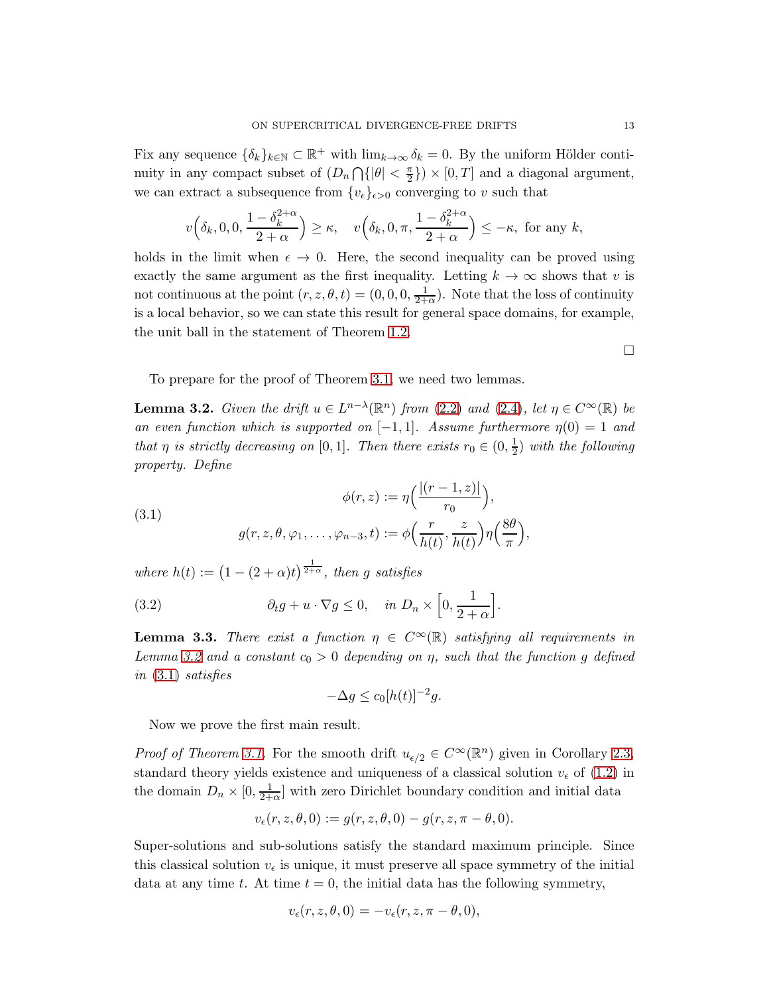Fix any sequence  $\{\delta_k\}_{k\in\mathbb{N}}\subset\mathbb{R}^+$  with  $\lim_{k\to\infty}\delta_k=0$ . By the uniform Hölder continuity in any compact subset of  $(D_n \cap \{|\theta| < \frac{\pi}{2}\}) \times [0,T]$  and a diagonal argument, we can extract a subsequence from  $\{v_{\epsilon}\}_{{\epsilon}>0}$  converging to v such that

$$
v\left(\delta_k, 0, 0, \frac{1-\delta_k^{2+\alpha}}{2+\alpha}\right) \ge \kappa, \quad v\left(\delta_k, 0, \pi, \frac{1-\delta_k^{2+\alpha}}{2+\alpha}\right) \le -\kappa, \text{ for any } k,
$$

holds in the limit when  $\epsilon \to 0$ . Here, the second inequality can be proved using exactly the same argument as the first inequality. Letting  $k \to \infty$  shows that v is not continuous at the point  $(r, z, \theta, t) = (0, 0, 0, \frac{1}{2\pi})$  $\frac{1}{2+\alpha}$ ). Note that the loss of continuity is a local behavior, so we can state this result for general space domains, for example, the unit ball in the statement of Theorem [1.2.](#page-3-1)

 $\Box$ 

<span id="page-12-0"></span>To prepare for the proof of Theorem [3.1,](#page-10-3) we need two lemmas.

**Lemma 3.2.** *Given the drift*  $u \in L^{n-\lambda}(\mathbb{R}^n)$  *from* [\(2.2\)](#page-8-0) *and* [\(2.4\)](#page-9-1)*, let*  $\eta \in C^{\infty}(\mathbb{R})$  *be an even function which is supported on*  $[-1, 1]$ *. Assume furthermore*  $\eta(0) = 1$  *and that*  $\eta$  *is strictly decreasing on* [0,1]*. Then there exists*  $r_0 \in (0, \frac{1}{2})$  $\frac{1}{2}$ ) with the following *property. Define*

<span id="page-12-1"></span>(3.1) 
$$
\phi(r, z) := \eta\left(\frac{|(r-1, z)|}{r_0}\right),
$$

$$
g(r, z, \theta, \varphi_1, \dots, \varphi_{n-3}, t) := \phi\left(\frac{r}{h(t)}, \frac{z}{h(t)}\right) \eta\left(\frac{8\theta}{\pi}\right),
$$

where  $h(t) := (1 - (2 + \alpha)t)^{\frac{1}{2+\alpha}}$ , then g satisfies

(3.2) 
$$
\partial_t g + u \cdot \nabla g \leq 0, \quad in \ D_n \times \left[0, \frac{1}{2+\alpha}\right].
$$

<span id="page-12-2"></span>**Lemma 3.3.** *There exist a function*  $\eta \in C^{\infty}(\mathbb{R})$  *satisfying all requirements in Lemma* [3.2](#page-12-0) *and a* constant  $c_0 > 0$  *depending* on  $\eta$ *, such that the function* g *defined in* [\(3.1\)](#page-12-1) *satisfies*

$$
-\Delta g \le c_0 [h(t)]^{-2} g.
$$

Now we prove the first main result.

*Proof of Theorem [3.1.](#page-10-3)* For the smooth drift  $u_{\epsilon/2} \in C^{\infty}(\mathbb{R}^n)$  given in Corollary [2.3,](#page-10-2) standard theory yields existence and uniqueness of a classical solution  $v_{\epsilon}$  of [\(1.2\)](#page-1-0) in the domain  $D_n \times [0, \frac{1}{2+1}]$  $\frac{1}{2+\alpha}$  with zero Dirichlet boundary condition and initial data

$$
v_{\epsilon}(r,z,\theta,0):=g(r,z,\theta,0)-g(r,z,\pi-\theta,0).
$$

Super-solutions and sub-solutions satisfy the standard maximum principle. Since this classical solution  $v_{\epsilon}$  is unique, it must preserve all space symmetry of the initial data at any time t. At time  $t = 0$ , the initial data has the following symmetry,

$$
v_{\epsilon}(r, z, \theta, 0) = -v_{\epsilon}(r, z, \pi - \theta, 0),
$$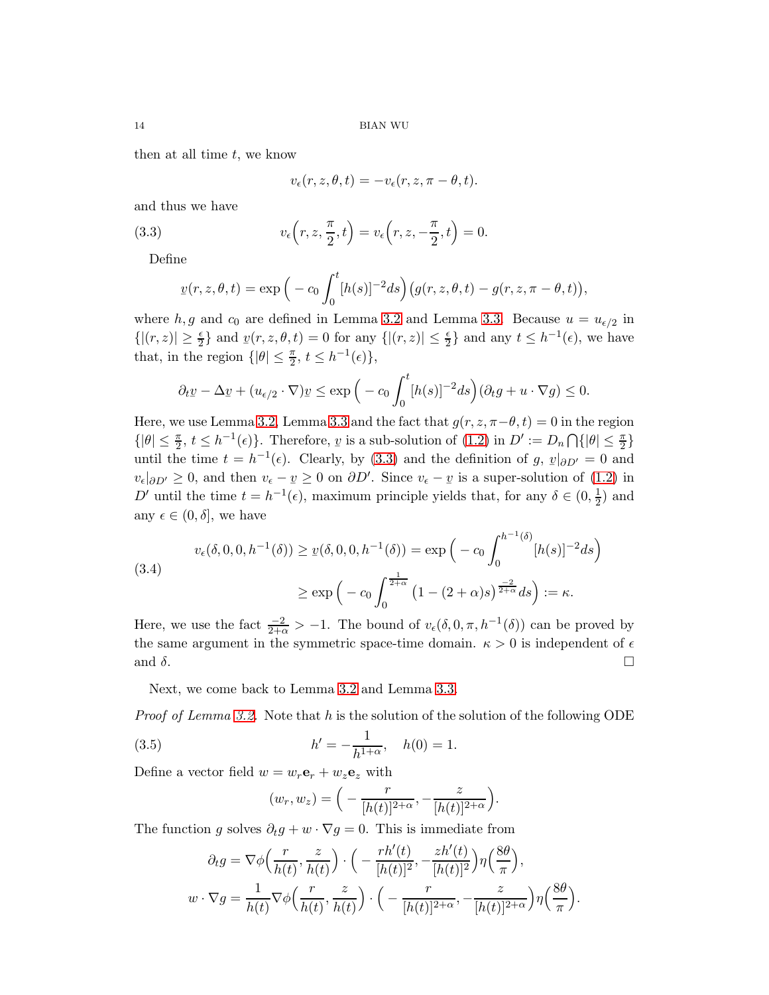then at all time  $t$ , we know

$$
v_{\epsilon}(r, z, \theta, t) = -v_{\epsilon}(r, z, \pi - \theta, t).
$$

and thus we have

<span id="page-13-0"></span>(3.3) 
$$
v_{\epsilon}\left(r, z, \frac{\pi}{2}, t\right) = v_{\epsilon}\left(r, z, -\frac{\pi}{2}, t\right) = 0.
$$

Define

$$
\underline{v}(r,z,\theta,t) = \exp\Big(-c_0 \int_0^t [h(s)]^{-2} ds\Big) \big(g(r,z,\theta,t) - g(r,z,\pi-\theta,t)\big),\,
$$

where  $h, g$  and  $c_0$  are defined in Lemma [3.2](#page-12-0) and Lemma [3.3.](#page-12-2) Because  $u = u_{\epsilon/2}$  in  $\{|(r,z)| \geq \frac{\epsilon}{2}\}\$  and  $y(r,z,\theta,t) = 0$  for any  $\{|(r,z)| \leq \frac{\epsilon}{2}\}\$  and any  $t \leq h^{-1}(\epsilon)$ , we have that, in the region  $\{|\theta| \leq \frac{\pi}{2}, t \leq h^{-1}(\epsilon)\},\$ 

$$
\partial_t \underline{v} - \Delta \underline{v} + (u_{\epsilon/2} \cdot \nabla) \underline{v} \le \exp\Big(-c_0 \int_0^t [h(s)]^{-2} ds\Big) (\partial_t g + u \cdot \nabla g) \le 0.
$$

Here, we use Lemma [3.2,](#page-12-0) Lemma [3.3](#page-12-2) and the fact that  $g(r, z, \pi-\theta, t) = 0$  in the region  $\{|\theta| \leq \frac{\pi}{2}, t \leq h^{-1}(\epsilon)\}\.$  Therefore, *y* is a sub-solution of [\(1.2\)](#page-1-0) in  $D' := D_n \cap \{|\theta| \leq \frac{\pi}{2}\}\$ until the time  $t = h^{-1}(\epsilon)$ . Clearly, by [\(3.3\)](#page-13-0) and the definition of g,  $v|_{\partial D'} = 0$  and  $v|_{\partial D'} = 0$  $v_{\epsilon}|_{\partial D'} \geq 0$ , and then  $v_{\epsilon} - \underline{v} \geq 0$  on  $\partial D'$ . Since  $v_{\epsilon} - \underline{v}$  is a super-solution of [\(1.2\)](#page-1-0) in D' until the time  $t = h^{-1}(\epsilon)$ , maximum principle yields that, for any  $\delta \in (0, \frac{1}{2})$  $(\frac{1}{2})$  and any  $\epsilon \in (0, \delta]$ , we have

$$
v_{\epsilon}(\delta, 0, 0, h^{-1}(\delta)) \ge v(\delta, 0, 0, h^{-1}(\delta)) = \exp\left(-c_0 \int_0^{h^{-1}(\delta)} [h(s)]^{-2} ds\right)
$$
  

$$
\ge \exp\left(-c_0 \int_0^{\frac{1}{2+\alpha}} \left(1 - (2+\alpha)s\right)^{\frac{-2}{2+\alpha}} ds\right) := \kappa.
$$

Here, we use the fact  $\frac{-2}{2+\alpha} > -1$ . The bound of  $v_{\epsilon}(\delta, 0, \pi, h^{-1}(\delta))$  can be proved by the same argument in the symmetric space-time domain.  $\kappa > 0$  is independent of  $\epsilon$ and  $\delta$ .

Next, we come back to Lemma [3.2](#page-12-0) and Lemma [3.3.](#page-12-2)

*Proof of Lemma [3.2.](#page-12-0)* Note that h is the solution of the solution of the following ODE

(3.5) 
$$
h' = -\frac{1}{h^{1+\alpha}}, \quad h(0) = 1.
$$

Define a vector field  $w = w_r \mathbf{e}_r + w_z \mathbf{e}_z$  with

$$
(w_r,w_z)=\Big(-\frac{r}{[h(t)]^{2+\alpha}},-\frac{z}{[h(t)]^{2+\alpha}}\Big).
$$

The function g solves  $\partial_t g + w \cdot \nabla g = 0$ . This is immediate from

$$
\partial_t g = \nabla \phi \left( \frac{r}{h(t)}, \frac{z}{h(t)} \right) \cdot \left( -\frac{rh'(t)}{[h(t)]^2}, -\frac{zh'(t)}{[h(t)]^2} \right) \eta \left( \frac{8\theta}{\pi} \right),
$$
  

$$
w \cdot \nabla g = \frac{1}{h(t)} \nabla \phi \left( \frac{r}{h(t)}, \frac{z}{h(t)} \right) \cdot \left( -\frac{r}{[h(t)]^{2+\alpha}}, -\frac{z}{[h(t)]^{2+\alpha}} \right) \eta \left( \frac{8\theta}{\pi} \right).
$$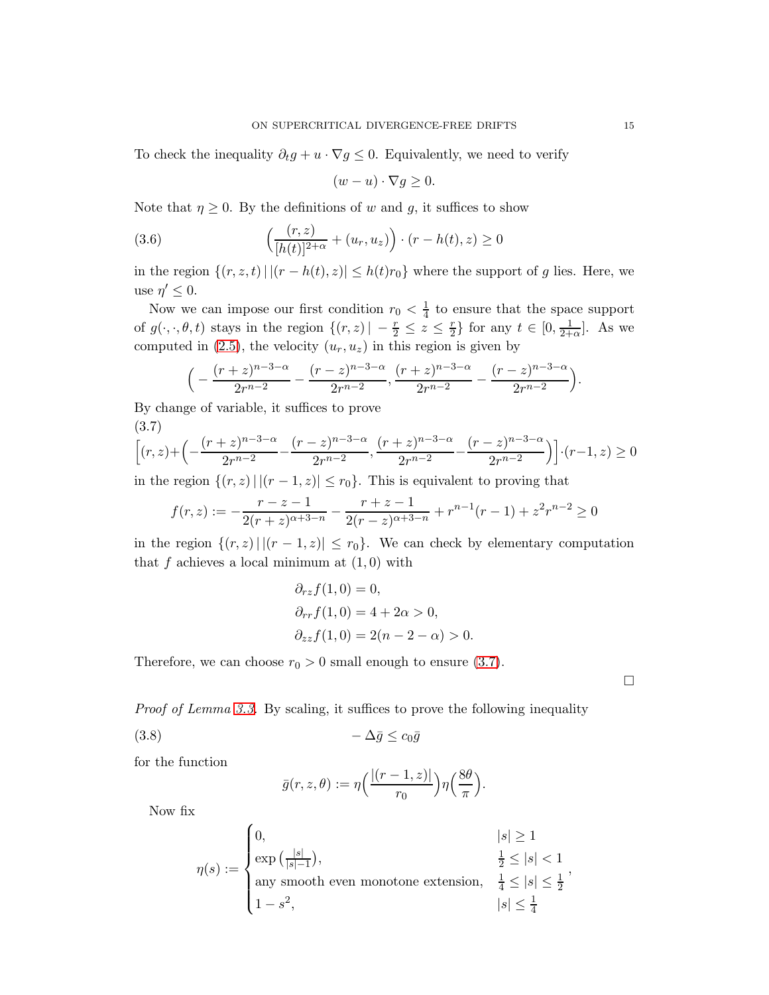To check the inequality  $\partial_t g + u \cdot \nabla g \leq 0$ . Equivalently, we need to verify

$$
(w - u) \cdot \nabla g \ge 0.
$$

Note that  $\eta \geq 0$ . By the definitions of w and g, it suffices to show

(3.6) 
$$
\left(\frac{(r,z)}{[h(t)]^{2+\alpha}} + (u_r, u_z)\right) \cdot (r - h(t), z) \ge 0
$$

in the region  $\{(r, z, t) | |(r - h(t), z)| \leq h(t)r_0\}$  where the support of g lies. Here, we use  $\eta' \leq 0$ .

Now we can impose our first condition  $r_0 < \frac{1}{4}$  $\frac{1}{4}$  to ensure that the space support of  $g(\cdot, \cdot, \theta, t)$  stays in the region  $\{(r, z) | -\frac{r}{2} \leq z \leq \frac{r}{2}\}$  $\frac{r}{2}$  for any  $t \in [0, \frac{1}{2+1}]$  $\frac{1}{2+\alpha}$ . As we computed in [\(2.5\)](#page-10-1), the velocity  $(u_r, u_z)$  in this region is given by

$$
\Big(-\frac{(r+z)^{n-3-\alpha}}{2r^{n-2}}-\frac{(r-z)^{n-3-\alpha}}{2r^{n-2}}, \frac{(r+z)^{n-3-\alpha}}{2r^{n-2}}-\frac{(r-z)^{n-3-\alpha}}{2r^{n-2}}\Big).
$$

By change of variable, it suffices to prove

$$
(3.7)
$$

<span id="page-14-0"></span>
$$
\[ (r,z) + \left( -\frac{(r+z)^{n-3-\alpha}}{2r^{n-2}} - \frac{(r-z)^{n-3-\alpha}}{2r^{n-2}}, \frac{(r+z)^{n-3-\alpha}}{2r^{n-2}} - \frac{(r-z)^{n-3-\alpha}}{2r^{n-2}} \right) \] \cdot (r-1,z) \ge 0
$$

in the region  $\{(r, z) | |(r - 1, z)| \le r_0\}$ . This is equivalent to proving that

$$
f(r,z) := -\frac{r-z-1}{2(r+z)^{\alpha+3-n}} - \frac{r+z-1}{2(r-z)^{\alpha+3-n}} + r^{n-1}(r-1) + z^2r^{n-2} \ge 0
$$

in the region  $\{(r, z) | |(r - 1, z)| \leq r_0\}$ . We can check by elementary computation that  $f$  achieves a local minimum at  $(1,0)$  with

$$
\partial_{rz}f(1,0) = 0,
$$
  
\n
$$
\partial_{rr}f(1,0) = 4 + 2\alpha > 0,
$$
  
\n
$$
\partial_{zz}f(1,0) = 2(n-2-\alpha) > 0.
$$

Therefore, we can choose  $r_0 > 0$  small enough to ensure [\(3.7\)](#page-14-0).

 $\Box$ 

*Proof of Lemma [3.3.](#page-12-2)* By scaling, it suffices to prove the following inequality

$$
(3.8) \t-\Delta \bar{g} \le c_0 \bar{g}
$$

for the function

$$
\bar{g}(r, z, \theta) := \eta \left( \frac{|(r-1, z)|}{r_0} \right) \eta \left( \frac{8\theta}{\pi} \right).
$$

Now fix

$$
\eta(s) := \begin{cases}\n0, & |s| \ge 1 \\
\exp\left(\frac{|s|}{|s|-1}\right), & \frac{1}{2} \le |s| < 1 \\
\text{any smooth even monotone extension,} & \frac{1}{4} \le |s| \le \frac{1}{2} \\
1 - s^2, & |s| \le \frac{1}{4}\n\end{cases}
$$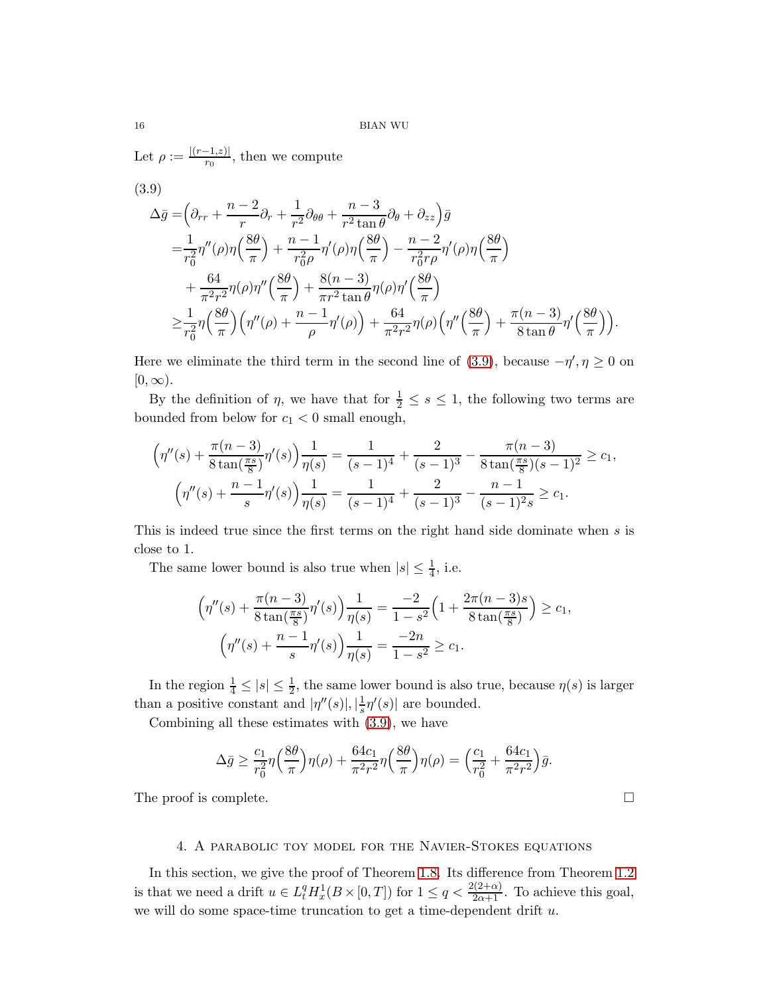Let  $\rho := \frac{|(r-1,z)|}{r_0}$ , then we compute

<span id="page-15-1"></span>(3.9)  
\n
$$
\Delta \bar{g} = \left(\partial_{rr} + \frac{n-2}{r} \partial_r + \frac{1}{r^2} \partial_{\theta\theta} + \frac{n-3}{r^2 \tan \theta} \partial_{\theta} + \partial_{zz}\right) \bar{g}
$$
\n
$$
= \frac{1}{r_0^2} \eta''(\rho) \eta \left(\frac{8\theta}{\pi}\right) + \frac{n-1}{r_0^2 \rho} \eta'(\rho) \eta \left(\frac{8\theta}{\pi}\right) - \frac{n-2}{r_0^2 r \rho} \eta'(\rho) \eta \left(\frac{8\theta}{\pi}\right)
$$
\n
$$
+ \frac{64}{\pi^2 r^2} \eta(\rho) \eta'' \left(\frac{8\theta}{\pi}\right) + \frac{8(n-3)}{\pi r^2 \tan \theta} \eta(\rho) \eta' \left(\frac{8\theta}{\pi}\right)
$$
\n
$$
\geq \frac{1}{r_0^2} \eta \left(\frac{8\theta}{\pi}\right) \left(\eta''(\rho) + \frac{n-1}{\rho} \eta'(\rho)\right) + \frac{64}{\pi^2 r^2} \eta(\rho) \left(\eta'' \left(\frac{8\theta}{\pi}\right) + \frac{\pi(n-3)}{8 \tan \theta} \eta' \left(\frac{8\theta}{\pi}\right)\right).
$$

Here we eliminate the third term in the second line of [\(3.9\)](#page-15-1), because  $-\eta', \eta \ge 0$  on  $[0,\infty).$ 

By the definition of  $\eta$ , we have that for  $\frac{1}{2} \leq s \leq 1$ , the following two terms are bounded from below for  $c_1 < 0$  small enough,

$$
\left(\eta''(s) + \frac{\pi(n-3)}{8\tan(\frac{\pi s}{8})}\eta'(s)\right)\frac{1}{\eta(s)} = \frac{1}{(s-1)^4} + \frac{2}{(s-1)^3} - \frac{\pi(n-3)}{8\tan(\frac{\pi s}{8})(s-1)^2} \ge c_1,
$$

$$
\left(\eta''(s) + \frac{n-1}{s}\eta'(s)\right)\frac{1}{\eta(s)} = \frac{1}{(s-1)^4} + \frac{2}{(s-1)^3} - \frac{n-1}{(s-1)^2s} \ge c_1.
$$

This is indeed true since the first terms on the right hand side dominate when s is close to 1.

The same lower bound is also true when  $|s| \leq \frac{1}{4}$ , i.e.

$$
\left(\eta''(s) + \frac{\pi(n-3)}{8\tan(\frac{\pi s}{8})}\eta'(s)\right)\frac{1}{\eta(s)} = \frac{-2}{1-s^2}\left(1 + \frac{2\pi(n-3)s}{8\tan(\frac{\pi s}{8})}\right) \ge c_1,
$$

$$
\left(\eta''(s) + \frac{n-1}{s}\eta'(s)\right)\frac{1}{\eta(s)} = \frac{-2n}{1-s^2} \ge c_1.
$$

In the region  $\frac{1}{4} \leq |s| \leq \frac{1}{2}$ , the same lower bound is also true, because  $\eta(s)$  is larger than a positive constant and  $|\eta''(s)|, |\frac{1}{s}|$  $\frac{1}{s}\eta'(s)$  are bounded.

Combining all these estimates with [\(3.9\)](#page-15-1), we have

$$
\Delta \bar{g} \ge \frac{c_1}{r_0^2} \eta \left(\frac{8\theta}{\pi}\right) \eta(\rho) + \frac{64c_1}{\pi^2 r^2} \eta \left(\frac{8\theta}{\pi}\right) \eta(\rho) = \left(\frac{c_1}{r_0^2} + \frac{64c_1}{\pi^2 r^2}\right) \bar{g}.
$$

<span id="page-15-0"></span>The proof is complete.  $\Box$ 

## 4. A parabolic toy model for the Navier-Stokes equations

In this section, we give the proof of Theorem [1.8.](#page-6-1) Its difference from Theorem [1.2](#page-3-1) is that we need a drift  $u \in L_t^q H_x^1(B \times [0,T])$  for  $1 \le q < \frac{2(2+\alpha)}{2\alpha+1}$ . To achieve this goal, we will do some space-time truncation to get a time-dependent drift  $u$ .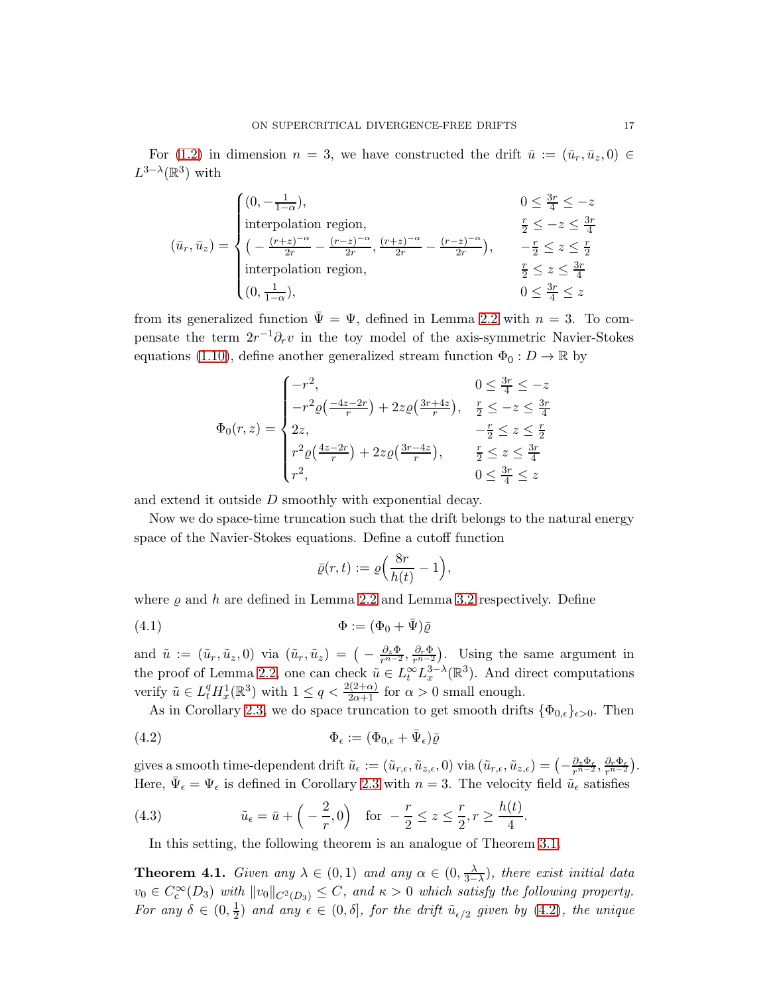For [\(1.2\)](#page-1-0) in dimension  $n = 3$ , we have constructed the drift  $\bar{u} := (\bar{u}_r, \bar{u}_z, 0) \in$  $L^{3-\lambda}(\mathbb{R}^3)$  with

$$
(\bar{u}_r, \bar{u}_z) = \begin{cases} (0, -\frac{1}{1-\alpha}), & 0 \le \frac{3r}{4} \le -z \\ \text{interpolation region}, & \frac{r}{2} \le -z \le \frac{3r}{4} \\ (-\frac{(r+z)^{-\alpha}}{2r} - \frac{(r-z)^{-\alpha}}{2r}, \frac{(r+z)^{-\alpha}}{2r} - \frac{(r-z)^{-\alpha}}{2r}), & -\frac{r}{2} \le z \le \frac{r}{2} \\ \text{interpolation region}, & \frac{r}{2} \le z \le \frac{3r}{4} \\ (0, \frac{1}{1-\alpha}), & 0 \le \frac{3r}{4} \le z \end{cases}
$$

from its generalized function  $\bar{\Psi} = \Psi$ , defined in Lemma [2.2](#page-9-0) with  $n = 3$ . To compensate the term  $2r^{-1}\partial_r v$  in the toy model of the axis-symmetric Navier-Stokes equations [\(1.10\)](#page-6-2), define another generalized stream function  $\Phi_0: D \to \mathbb{R}$  by

$$
\Phi_0(r,z) = \begin{cases}\n-r^2, & 0 \le \frac{3r}{4} \le -z \\
-r^2 \varrho(\frac{-4z-2r}{r}) + 2z \varrho(\frac{3r+4z}{r}), & \frac{r}{2} \le -z \le \frac{3r}{4} \\
2z, & -\frac{r}{2} \le z \le \frac{r}{2} \\
r^2 \varrho(\frac{4z-2r}{r}) + 2z \varrho(\frac{3r-4z}{r}), & \frac{r}{2} \le z \le \frac{3r}{4} \\
r^2, & 0 \le \frac{3r}{4} \le z\n\end{cases}
$$

and extend it outside D smoothly with exponential decay.

Now we do space-time truncation such that the drift belongs to the natural energy space of the Navier-Stokes equations. Define a cutoff function

$$
\bar{\varrho}(r,t):=\varrho\Big(\frac{8r}{h(t)}-1\Big),
$$

where  $\varrho$  and h are defined in Lemma [2.2](#page-9-0) and Lemma [3.2](#page-12-0) respectively. Define

<span id="page-16-3"></span>(4.1) Φ := (Φ<sup>0</sup> + Ψ)¯ ¯ ̺

and  $\tilde{u} := (\tilde{u}_r, \tilde{u}_z, 0)$  via  $(\tilde{u}_r, \tilde{u}_z) = \left(-\frac{\partial_z \Phi}{r^{n-2}}, \frac{\partial_r \Phi}{r^{n-2}}\right)$ . Using the same argument in the proof of Lemma [2.2,](#page-9-0) one can check  $\tilde{u} \in L_t^{\infty} L_x^{3-\lambda}(\mathbb{R}^3)$ . And direct computations verify  $\tilde{u} \in L_t^q H_x^1(\mathbb{R}^3)$  with  $1 \le q < \frac{2(2+\alpha)}{2\alpha+1}$  for  $\alpha > 0$  small enough.

As in Corollary [2.3,](#page-10-2) we do space truncation to get smooth drifts  $\{\Phi_{0,\epsilon}\}_{{\epsilon}>0}$ . Then

<span id="page-16-0"></span>(4.2) 
$$
\Phi_{\epsilon} := (\Phi_{0,\epsilon} + \bar{\Psi}_{\epsilon})\bar{\varrho}
$$

gives a smooth time-dependent drift  $\tilde{u}_{\epsilon} := (\tilde{u}_{r,\epsilon}, \tilde{u}_{z,\epsilon}, 0)$  via  $(\tilde{u}_{r,\epsilon}, \tilde{u}_{z,\epsilon}) = \left(-\frac{\partial_z \Phi_{\epsilon}}{r^{n-2}}, \frac{\partial_r \Phi_{\epsilon}}{r^{n-2}}\right)$ . Here,  $\bar{\Psi}_{\epsilon} = \Psi_{\epsilon}$  is defined in Corollary [2.3](#page-10-2) with  $n = 3$ . The velocity field  $\tilde{u}_{\epsilon}$  satisfies

<span id="page-16-2"></span>(4.3) 
$$
\tilde{u}_{\epsilon} = \bar{u} + \left( -\frac{2}{r}, 0 \right) \text{ for } -\frac{r}{2} \le z \le \frac{r}{2}, r \ge \frac{h(t)}{4}.
$$

<span id="page-16-1"></span>In this setting, the following theorem is an analogue of Theorem [3.1.](#page-10-3)

**Theorem 4.1.** *Given any*  $\lambda \in (0,1)$  *and any*  $\alpha \in (0, \frac{\lambda}{3-1})$  $\frac{\lambda}{3-\lambda}$ )*, there exist initial data*  $v_0 \in C_c^{\infty}(D_3)$  with  $||v_0||_{C^2(D_3)} \leq C$ , and  $\kappa > 0$  which satisfy the following property. *For any*  $\delta \in (0, \frac{1}{2})$  $\frac{1}{2}$ ) and any  $\epsilon \in (0, \delta]$ *, for the drift*  $\tilde{u}_{\epsilon/2}$  given by [\(4.2\)](#page-16-0)*, the unique*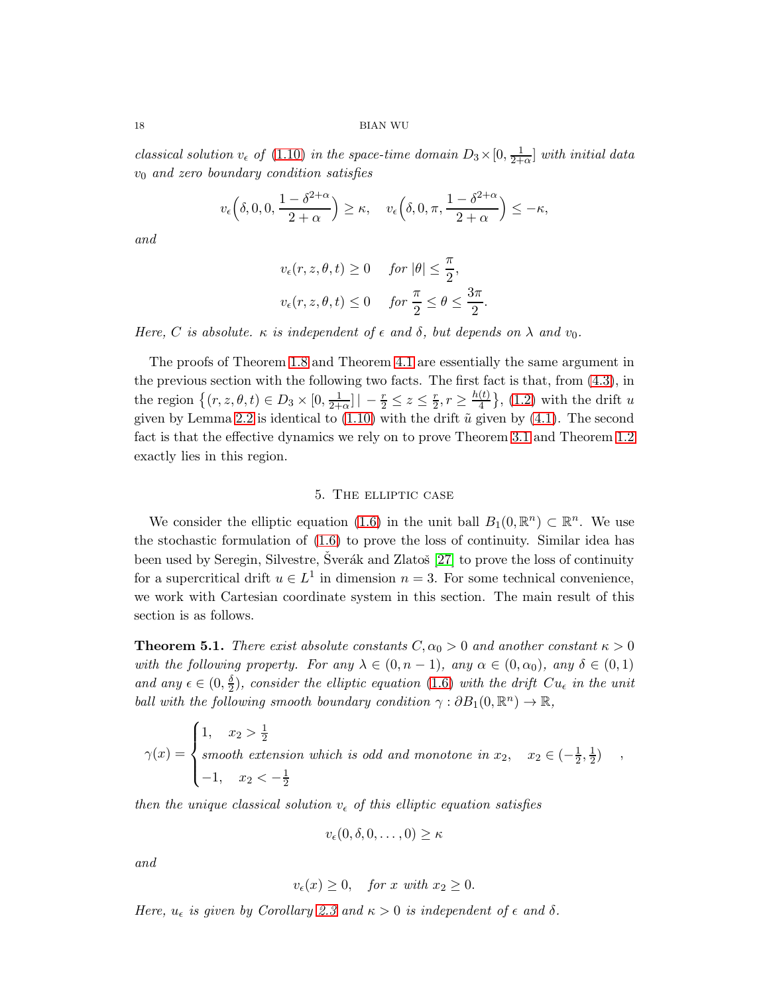*classical solution*  $v_{\epsilon}$  *of* [\(1.10\)](#page-6-2) *in the space-time domain*  $D_3 \times [0, \frac{1}{2+1}]$  $\frac{1}{2+\alpha}$  *with initial data* v<sup>0</sup> *and zero boundary condition satisfies*

$$
v_{\epsilon} \left( \delta, 0, 0, \frac{1 - \delta^{2+\alpha}}{2+\alpha} \right) \geq \kappa, \quad v_{\epsilon} \left( \delta, 0, \pi, \frac{1 - \delta^{2+\alpha}}{2+\alpha} \right) \leq -\kappa,
$$

*and*

$$
v_{\epsilon}(r, z, \theta, t) \ge 0 \quad \text{for } |\theta| \le \frac{\pi}{2},
$$
  

$$
v_{\epsilon}(r, z, \theta, t) \le 0 \quad \text{for } \frac{\pi}{2} \le \theta \le \frac{3\pi}{2}
$$

.

*Here, C is absolute.*  $\kappa$  *is independent of*  $\epsilon$  *and*  $\delta$ *, but depends on*  $\lambda$  *and*  $v_0$ *.* 

The proofs of Theorem [1.8](#page-6-1) and Theorem [4.1](#page-16-1) are essentially the same argument in the previous section with the following two facts. The first fact is that, from [\(4.3\)](#page-16-2), in the region  $\{(r, z, \theta, t) \in D_3 \times [0, \frac{1}{2+1}\}]$  $\frac{1}{2+\alpha}$ ] |  $-\frac{r}{2} \leq z \leq \frac{r}{2}$  $\frac{r}{2}, r \geq \frac{h(t)}{4}$  $\left\{\frac{u}{4}\right\}$ , [\(1.2\)](#page-1-0) with the drift u given by Lemma [2.2](#page-9-0) is identical to  $(1.10)$  with the drift  $\tilde{u}$  given by  $(4.1)$ . The second fact is that the effective dynamics we rely on to prove Theorem [3.1](#page-10-3) and Theorem [1.2](#page-3-1) exactly lies in this region.

## 5. The elliptic case

<span id="page-17-0"></span>We consider the elliptic equation [\(1.6\)](#page-4-0) in the unit ball  $B_1(0, \mathbb{R}^n) \subset \mathbb{R}^n$ . We use the stochastic formulation of [\(1.6\)](#page-4-0) to prove the loss of continuity. Similar idea has been used by Seregin, Silvestre, Šverák and Zlatoš  $[27]$  to prove the loss of continuity for a supercritical drift  $u \in L^1$  in dimension  $n = 3$ . For some technical convenience, we work with Cartesian coordinate system in this section. The main result of this section is as follows.

<span id="page-17-1"></span>**Theorem 5.1.** *There exist absolute constants*  $C, \alpha_0 > 0$  *and another constant*  $\kappa > 0$ *with the following property. For any*  $\lambda \in (0, n-1)$ *, any*  $\alpha \in (0, \alpha_0)$ *, any*  $\delta \in (0, 1)$ *and any*  $\epsilon \in (0, \frac{\delta}{2})$  $\frac{\partial}{\partial x^2}$ , consider the elliptic equation [\(1.6\)](#page-4-0) with the drift  $Cu_{\epsilon}$  in the unit *ball with the following smooth boundary condition*  $\gamma : \partial B_1(0, \mathbb{R}^n) \to \mathbb{R}$ ,

$$
\gamma(x) = \begin{cases} 1, & x_2 > \frac{1}{2} \\ \text{smooth extension which is odd and monotone in } x_2, & x_2 \in \left(-\frac{1}{2}, \frac{1}{2}\right) \\ -1, & x_2 < -\frac{1}{2} \end{cases}
$$

*then the unique classical solution*  $v_{\epsilon}$  *of this elliptic equation satisfies* 

$$
v_{\epsilon}(0,\delta,0,\ldots,0)\geq\kappa
$$

*and*

$$
v_{\epsilon}(x) \ge 0, \quad \text{for } x \text{ with } x_2 \ge 0.
$$

*Here,*  $u_{\epsilon}$  *is given by Corollary* [2.3](#page-10-2) *and*  $\kappa > 0$  *is independent of*  $\epsilon$  *and*  $\delta$ *.*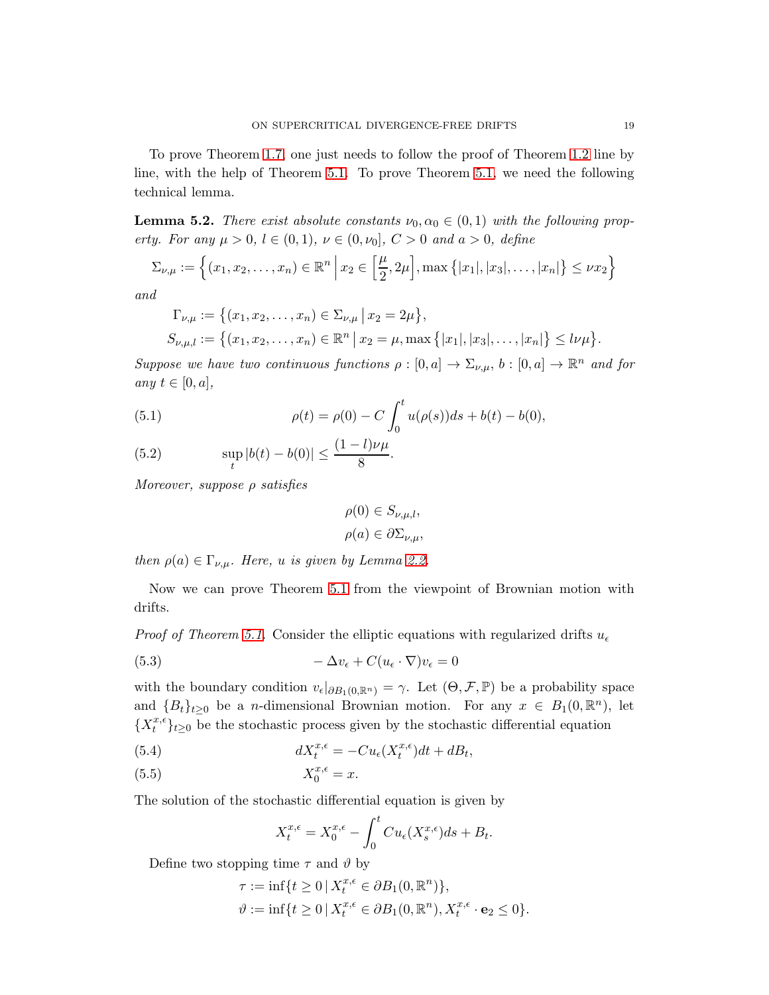<span id="page-18-0"></span>To prove Theorem [1.7,](#page-4-2) one just needs to follow the proof of Theorem [1.2](#page-3-1) line by line, with the help of Theorem [5.1.](#page-17-1) To prove Theorem [5.1,](#page-17-1) we need the following technical lemma.

**Lemma 5.2.** *There exist absolute constants*  $\nu_0, \alpha_0 \in (0,1)$  *with the following property. For any*  $\mu > 0$ ,  $l \in (0, 1)$ ,  $\nu \in (0, \nu_0]$ ,  $C > 0$  *and*  $a > 0$ , *define* 

$$
\Sigma_{\nu,\mu} := \left\{ (x_1, x_2, \dots, x_n) \in \mathbb{R}^n \, \Big| \, x_2 \in \left[ \frac{\mu}{2}, 2\mu \right], \max \left\{ |x_1|, |x_3|, \dots, |x_n| \right\} \le \nu x_2 \right\}
$$

*and*

$$
\Gamma_{\nu,\mu} := \left\{ (x_1, x_2, \dots, x_n) \in \Sigma_{\nu,\mu} \, \middle| \, x_2 = 2\mu \right\},
$$
  
\n
$$
S_{\nu,\mu,l} := \left\{ (x_1, x_2, \dots, x_n) \in \mathbb{R}^n \, \middle| \, x_2 = \mu, \max \left\{ |x_1|, |x_3|, \dots, |x_n| \right\} \le l\nu\mu \right\}.
$$

*Suppose we have two continuous functions*  $\rho : [0, a] \to \Sigma_{\nu,\mu}$ ,  $b : [0, a] \to \mathbb{R}^n$  *and for any*  $t \in [0, a]$ ,

<span id="page-18-2"></span>(5.1) 
$$
\rho(t) = \rho(0) - C \int_0^t u(\rho(s))ds + b(t) - b(0),
$$

(5.2) 
$$
\sup_{t} |b(t) - b(0)| \leq \frac{(1 - l)\nu\mu}{8}.
$$

*Moreover, suppose* ρ *satisfies*

$$
\rho(0) \in S_{\nu,\mu,l},
$$
  

$$
\rho(a) \in \partial \Sigma_{\nu,\mu},
$$

*then*  $\rho(a) \in \Gamma_{\nu,\mu}$ *. Here, u is given by Lemma [2.2.](#page-9-0)* 

Now we can prove Theorem [5.1](#page-17-1) from the viewpoint of Brownian motion with drifts.

*Proof of Theorem [5.1.](#page-17-1)* Consider the elliptic equations with regularized drifts  $u_{\epsilon}$ 

(5.3) 
$$
-\Delta v_{\epsilon} + C(u_{\epsilon} \cdot \nabla)v_{\epsilon} = 0
$$

with the boundary condition  $v_{\epsilon}|_{\partial B_1(0,\mathbb{R}^n)} = \gamma$ . Let  $(\Theta, \mathcal{F}, \mathbb{P})$  be a probability space and  ${B_t}_{t\geq0}$  be a *n*-dimensional Brownian motion. For any  $x \in B_1(0,\mathbb{R}^n)$ , let  $\{X^{x,\epsilon}_t$  $\{x, e\}$ <sub>t</sub> $\}$ <sub>t</sub> $\geq$ <sub>0</sub> be the stochastic process given by the stochastic differential equation

<span id="page-18-1"></span>(5.4) 
$$
dX_t^{x,\epsilon} = -Cu_{\epsilon}(X_t^{x,\epsilon})dt + dB_t,
$$

$$
(5.5) \t\t X_0^{x,\epsilon} = x.
$$

The solution of the stochastic differential equation is given by

$$
X_t^{x,\epsilon} = X_0^{x,\epsilon} - \int_0^t Cu_{\epsilon}(X_s^{x,\epsilon})ds + B_t.
$$

Define two stopping time  $\tau$  and  $\vartheta$  by

$$
\tau := \inf\{t \ge 0 \mid X_t^{x,\epsilon} \in \partial B_1(0,\mathbb{R}^n)\},
$$
  

$$
\vartheta := \inf\{t \ge 0 \mid X_t^{x,\epsilon} \in \partial B_1(0,\mathbb{R}^n), X_t^{x,\epsilon} \cdot \mathbf{e}_2 \le 0\}.
$$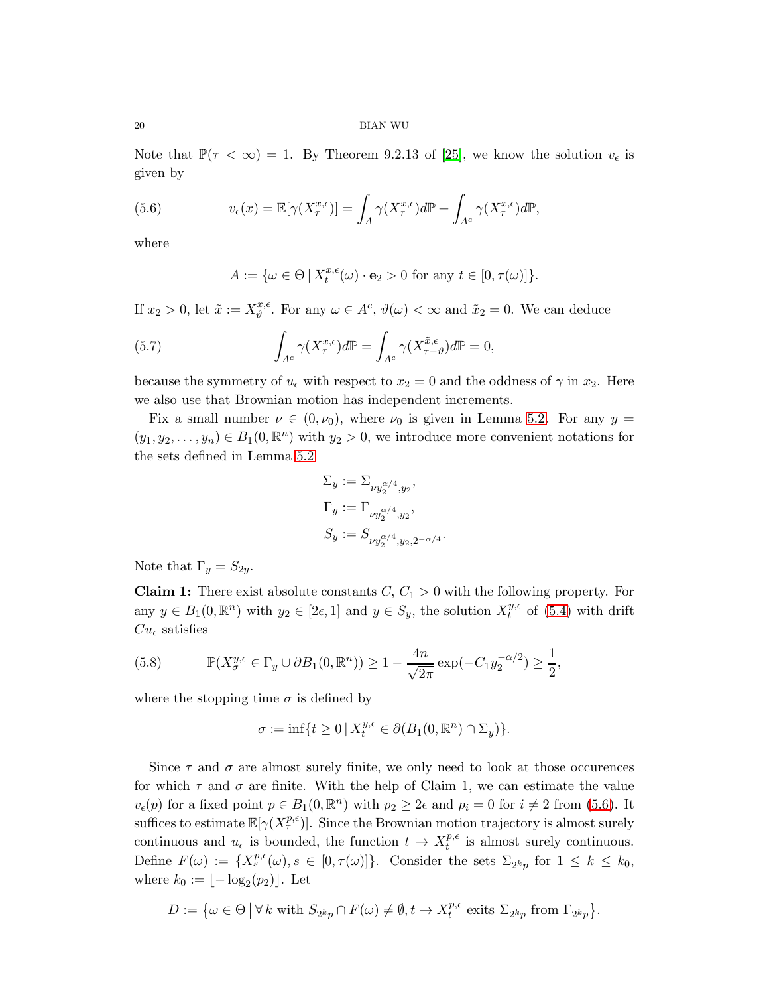Note that  $\mathbb{P}(\tau < \infty) = 1$ . By Theorem 9.2.13 of [\[25\]](#page-24-16), we know the solution  $v_{\epsilon}$  is given by

(5.6) 
$$
v_{\epsilon}(x) = \mathbb{E}[\gamma(X_{\tau}^{x,\epsilon})] = \int_{A} \gamma(X_{\tau}^{x,\epsilon}) d\mathbb{P} + \int_{A^c} \gamma(X_{\tau}^{x,\epsilon}) d\mathbb{P},
$$

where

<span id="page-19-0"></span>
$$
A := \{ \omega \in \Theta \, | \, X_t^{x,\epsilon}(\omega) \cdot \mathbf{e}_2 > 0 \text{ for any } t \in [0, \tau(\omega)] \}.
$$

If  $x_2 > 0$ , let  $\tilde{x} := X_{\vartheta}^{x,\epsilon}$  $x_i^{\alpha,\epsilon}$ . For any  $\omega \in A^c$ ,  $\vartheta(\omega) < \infty$  and  $\tilde{x}_2 = 0$ . We can deduce

<span id="page-19-1"></span>(5.7) 
$$
\int_{A^c} \gamma(X_{\tau}^{x,\epsilon}) d\mathbb{P} = \int_{A^c} \gamma(X_{\tau-\vartheta}^{\tilde{x},\epsilon}) d\mathbb{P} = 0,
$$

because the symmetry of  $u_{\epsilon}$  with respect to  $x_2 = 0$  and the oddness of  $\gamma$  in  $x_2$ . Here we also use that Brownian motion has independent increments.

Fix a small number  $\nu \in (0, \nu_0)$ , where  $\nu_0$  is given in Lemma [5.2.](#page-18-0) For any  $y =$  $(y_1, y_2, \ldots, y_n) \in B_1(0, \mathbb{R}^n)$  with  $y_2 > 0$ , we introduce more convenient notations for the sets defined in Lemma [5.2](#page-18-0)

$$
\begin{aligned} \Sigma_y&:=\Sigma_{\nu y_2^{\alpha/4},y_2},\\ \Gamma_y&:=\Gamma_{\nu y_2^{\alpha/4},y_2},\\ S_y&:=S_{\nu y_2^{\alpha/4},y_2,2^{-\alpha/4}}. \end{aligned}
$$

Note that  $\Gamma_y = S_{2y}$ .

**Claim 1:** There exist absolute constants  $C, C_1 > 0$  with the following property. For any  $y \in B_1(0, \mathbb{R}^n)$  with  $y_2 \in [2\epsilon, 1]$  and  $y \in S_y$ , the solution  $X_t^{y,\epsilon}$  $t^{y,\epsilon}$  of [\(5.4\)](#page-18-1) with drift  $Cu_{\epsilon}$  satisfies

(5.8) 
$$
\mathbb{P}(X_{\sigma}^{y,\epsilon} \in \Gamma_y \cup \partial B_1(0,\mathbb{R}^n)) \ge 1 - \frac{4n}{\sqrt{2\pi}} \exp(-C_1 y_2^{-\alpha/2}) \ge \frac{1}{2},
$$

where the stopping time  $\sigma$  is defined by

$$
\sigma := \inf\{t \ge 0 \,|\, X_t^{y,\epsilon} \in \partial(B_1(0,\mathbb{R}^n) \cap \Sigma_y)\}.
$$

Since  $\tau$  and  $\sigma$  are almost surely finite, we only need to look at those occurences for which  $\tau$  and  $\sigma$  are finite. With the help of Claim 1, we can estimate the value  $v_{\epsilon}(p)$  for a fixed point  $p \in B_1(0, \mathbb{R}^n)$  with  $p_2 \geq 2\epsilon$  and  $p_i = 0$  for  $i \neq 2$  from [\(5.6\)](#page-19-0). It suffices to estimate  $\mathbb{E}[\gamma(X_{\tau}^{p,\epsilon})]$ . Since the Brownian motion trajectory is almost surely continuous and  $u_{\epsilon}$  is bounded, the function  $t \to X_t^{p,\epsilon}$  $t^{p,\epsilon}$  is almost surely continuous. Define  $F(\omega) := \{X_s^{p,\epsilon}(\omega), s \in [0, \tau(\omega)]\}$ . Consider the sets  $\Sigma_{2^k p}$  for  $1 \leq k \leq k_0$ , where  $k_0 := \lfloor -\log_2(p_2) \rfloor$ . Let

$$
D := \{ \omega \in \Theta \, | \, \forall \, k \text{ with } S_{2^k p} \cap F(\omega) \neq \emptyset, t \to X_t^{p,\epsilon} \text{ exits } \Sigma_{2^k p} \text{ from } \Gamma_{2^k p} \}.
$$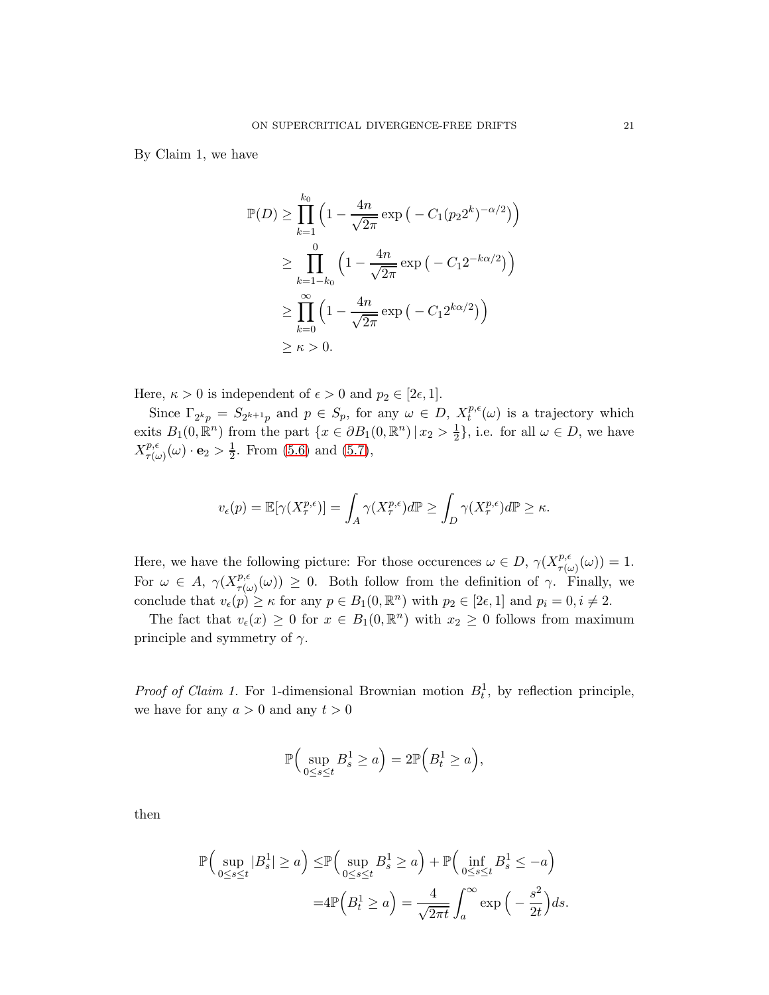By Claim 1, we have

$$
\mathbb{P}(D) \ge \prod_{k=1}^{k_0} \left( 1 - \frac{4n}{\sqrt{2\pi}} \exp\left( -C_1 (p_2 2^k)^{-\alpha/2} \right) \right)
$$
  
\n
$$
\ge \prod_{k=1-k_0}^{0} \left( 1 - \frac{4n}{\sqrt{2\pi}} \exp\left( -C_1 2^{-k\alpha/2} \right) \right)
$$
  
\n
$$
\ge \prod_{k=0}^{\infty} \left( 1 - \frac{4n}{\sqrt{2\pi}} \exp\left( -C_1 2^{k\alpha/2} \right) \right)
$$
  
\n
$$
\ge \kappa > 0.
$$

Here,  $\kappa > 0$  is independent of  $\epsilon > 0$  and  $p_2 \in [2\epsilon, 1]$ .

Since  $\Gamma_{2^kp} = S_{2^{k+1}p}$  and  $p \in S_p$ , for any  $\omega \in D$ ,  $X_t^{p,q}$  $t^{p,\epsilon}(\omega)$  is a trajectory which exits  $B_1(0, \mathbb{R}^n)$  from the part  $\{x \in \partial B_1(0, \mathbb{R}^n) \mid x_2 > \frac{1}{2}\}$  $\frac{1}{2}$ , i.e. for all  $\omega \in D$ , we have  $X^{p,\epsilon}_{\tau(\cdot)}$  $\frac{p,\epsilon}{\tau(\omega)}(\omega) \cdot \mathbf{e}_2 > \frac{1}{2}$  $\frac{1}{2}$ . From [\(5.6\)](#page-19-0) and [\(5.7\)](#page-19-1),

$$
v_{\epsilon}(p) = \mathbb{E}[\gamma(X_{\tau}^{p,\epsilon})] = \int_{A} \gamma(X_{\tau}^{p,\epsilon}) d\mathbb{P} \ge \int_{D} \gamma(X_{\tau}^{p,\epsilon}) d\mathbb{P} \ge \kappa.
$$

Here, we have the following picture: For those occurences  $\omega \in D$ ,  $\gamma(X_{\tau(\omega)}^{p,\epsilon})$  $T^{p,\epsilon}_{\tau(\omega)}(\omega))=1.$ For  $\omega \in A$ ,  $\gamma(X_{\tau(\omega)}^{p,\epsilon})$  $(\tau(\omega)) \geq 0$ . Both follow from the definition of  $\gamma$ . Finally, we conclude that  $v_{\epsilon}(p) \geq \kappa$  for any  $p \in B_1(0, \mathbb{R}^n)$  with  $p_2 \in [2\epsilon, 1]$  and  $p_i = 0, i \neq 2$ .

The fact that  $v_{\epsilon}(x) \ge 0$  for  $x \in B_1(0, \mathbb{R}^n)$  with  $x_2 \ge 0$  follows from maximum principle and symmetry of  $\gamma$ .

*Proof of Claim 1.* For 1-dimensional Brownian motion  $B_t^1$ , by reflection principle, we have for any  $a > 0$  and any  $t > 0$ 

$$
\mathbb{P}\Big(\sup_{0\leq s\leq t} B_s^1 \geq a\Big) = 2\mathbb{P}\Big(B_t^1 \geq a\Big),\,
$$

then

$$
\mathbb{P}\Big(\sup_{0\leq s\leq t}|B_s^1|\geq a\Big)\leq \mathbb{P}\Big(\sup_{0\leq s\leq t}B_s^1\geq a\Big)+\mathbb{P}\Big(\inf_{0\leq s\leq t}B_s^1\leq -a\Big)
$$

$$
=4\mathbb{P}\Big(B_t^1\geq a\Big)=\frac{4}{\sqrt{2\pi t}}\int_a^\infty \exp\Big(-\frac{s^2}{2t}\Big)ds.
$$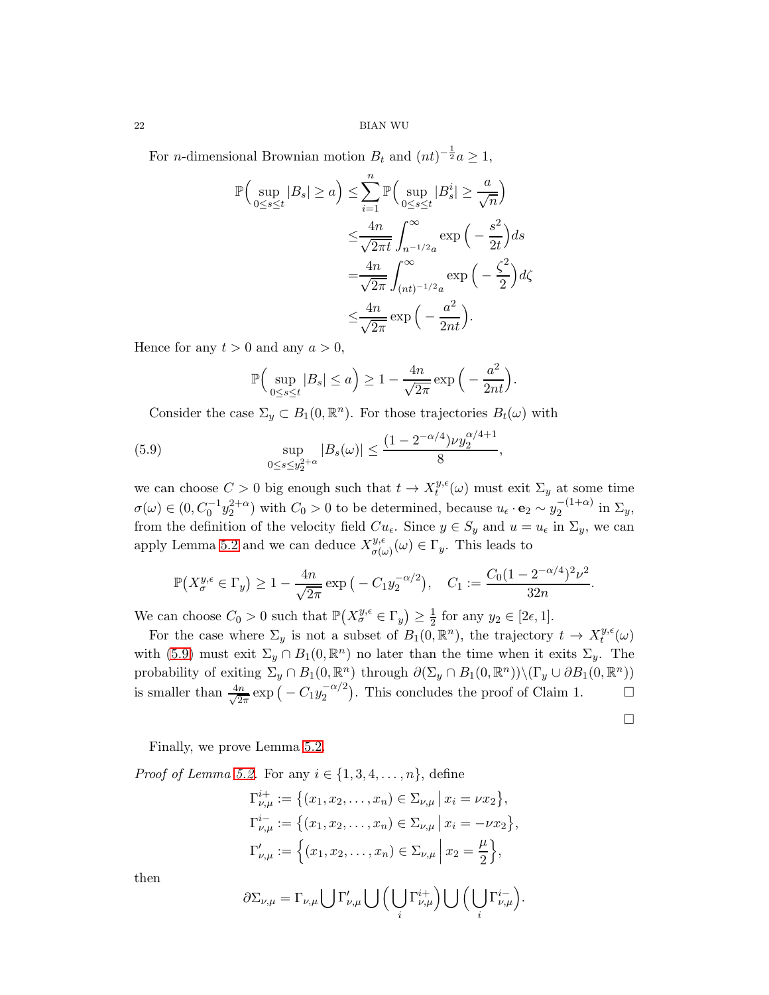For *n*-dimensional Brownian motion  $B_t$  and  $(nt)^{-\frac{1}{2}}a \geq 1$ ,

$$
\mathbb{P}\Big(\sup_{0\leq s\leq t}|B_s|\geq a\Big)\leq \sum_{i=1}^n \mathbb{P}\Big(\sup_{0\leq s\leq t}|B_s^i|\geq \frac{a}{\sqrt{n}}\Big)
$$

$$
\leq \frac{4n}{\sqrt{2\pi t}}\int_{n^{-1/2}a}^{\infty} \exp\Big(-\frac{s^2}{2t}\Big)ds
$$

$$
=\frac{4n}{\sqrt{2\pi}}\int_{(nt)^{-1/2}a}^{\infty} \exp\Big(-\frac{\zeta^2}{2}\Big) d\zeta
$$

$$
\leq \frac{4n}{\sqrt{2\pi}} \exp\Big(-\frac{a^2}{2nt}\Big).
$$

Hence for any  $t > 0$  and any  $a > 0$ ,

<span id="page-21-0"></span>
$$
\mathbb{P}\Big(\sup_{0\leq s\leq t}|B_s|\leq a\Big)\geq 1-\frac{4n}{\sqrt{2\pi}}\exp\Big(-\frac{a^2}{2nt}\Big).
$$

Consider the case  $\Sigma_y \subset B_1(0, \mathbb{R}^n)$ . For those trajectories  $B_t(\omega)$  with

(5.9) 
$$
\sup_{0 \le s \le y_2^{2+\alpha}} |B_s(\omega)| \le \frac{(1 - 2^{-\alpha/4})\nu y_2^{\alpha/4 + 1}}{8},
$$

we can choose  $C > 0$  big enough such that  $t \to X_t^{y,\epsilon}$  $t^{y,\epsilon}(\omega)$  must exit  $\Sigma_y$  at some time  $\sigma(\omega) \in (0, C_0^{-1} y_2^{2+\alpha})$  with  $C_0 > 0$  to be determined, because  $u_{\epsilon} \cdot \mathbf{e}_2 \sim y_2^{-(1+\alpha)}$  in  $\Sigma_y$ , from the definition of the velocity field  $Cu_{\epsilon}$ . Since  $y \in S_y$  and  $u = u_{\epsilon}$  in  $\Sigma_y$ , we can apply Lemma [5.2](#page-18-0) and we can deduce  $X_{\sigma(i)}^{y,\epsilon}$  $\sigma(\omega)$  ( $\omega$ )  $\in \Gamma_y$ . This leads to

$$
\mathbb{P}\big(X_{\sigma}^{y,\epsilon}\in\Gamma_y\big)\geq 1-\frac{4n}{\sqrt{2\pi}}\exp\big(-C_1y_2^{-\alpha/2}\big),\quad C_1:=\frac{C_0(1-2^{-\alpha/4})^2\nu^2}{32n}.
$$

We can choose  $C_0 > 0$  such that  $\mathbb{P}(X_{\sigma}^{y,\epsilon} \in \Gamma_y) \geq \frac{1}{2}$  for any  $y_2 \in [2\epsilon, 1]$ .

For the case where  $\Sigma_y$  is not a subset of  $B_1(0, \mathbb{R}^n)$ , the trajectory  $t \to X_t^{y,\epsilon}$  $t^{y,\epsilon}(\omega)$ with [\(5.9\)](#page-21-0) must exit  $\Sigma_y \cap B_1(0, \mathbb{R}^n)$  no later than the time when it exits  $\Sigma_y$ . The probability of exiting  $\Sigma_y \cap B_1(0, \mathbb{R}^n)$  through  $\partial(\Sigma_y \cap B_1(0, \mathbb{R}^n)) \setminus (\Gamma_y \cup \partial B_1(0, \mathbb{R}^n))$ is smaller than  $\frac{4n}{\sqrt{2}}$  $\frac{n}{2\pi} \exp\left(-C_1 y_2^{-\alpha/2}\right)$ . This concludes the proof of Claim 1.  $\Box$ 

 $\Box$ 

Finally, we prove Lemma [5.2.](#page-18-0)

*Proof of Lemma [5.2.](#page-18-0)* For any  $i \in \{1, 3, 4, \ldots, n\}$ , define

$$
\Gamma_{\nu,\mu}^{i+} := \left\{ (x_1, x_2, \dots, x_n) \in \Sigma_{\nu,\mu} \mid x_i = \nu x_2 \right\},\
$$
  
\n
$$
\Gamma_{\nu,\mu}^{i-} := \left\{ (x_1, x_2, \dots, x_n) \in \Sigma_{\nu,\mu} \mid x_i = -\nu x_2 \right\},\
$$
  
\n
$$
\Gamma_{\nu,\mu}' := \left\{ (x_1, x_2, \dots, x_n) \in \Sigma_{\nu,\mu} \mid x_2 = \frac{\mu}{2} \right\},\
$$

then

$$
\partial \Sigma_{\nu,\mu} = \Gamma_{\nu,\mu} \bigcup \Gamma'_{\nu,\mu} \bigcup \Big( \bigcup_i \Gamma^{i+}_{\nu,\mu} \Big) \bigcup \Big( \bigcup_i \Gamma^{i-}_{\nu,\mu} \Big).
$$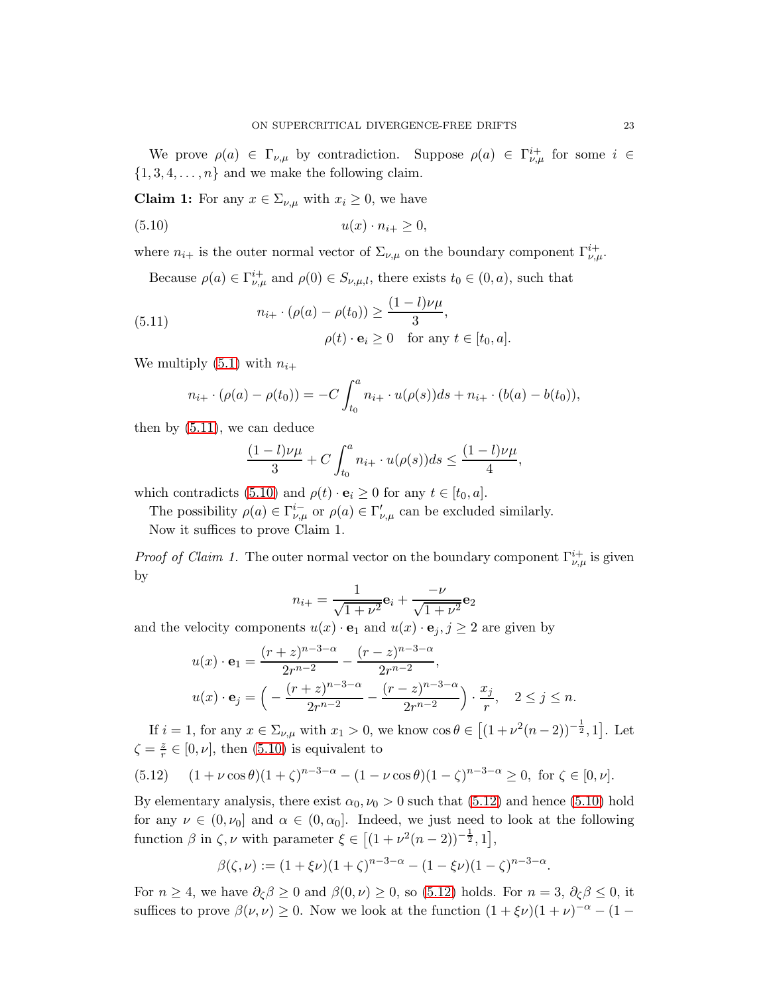We prove  $\rho(a) \in \Gamma_{\nu,\mu}$  by contradiction. Suppose  $\rho(a) \in \Gamma_{\nu,\mu}^{i+}$  for some  $i \in$  $\{1, 3, 4, \ldots, n\}$  and we make the following claim.

**Claim 1:** For any  $x \in \Sigma_{\nu,\mu}$  with  $x_i \geq 0$ , we have

<span id="page-22-1"></span>
$$
(5.10) \t\t u(x) \cdot n_{i+} \ge 0,
$$

where  $n_{i+}$  is the outer normal vector of  $\Sigma_{\nu,\mu}$  on the boundary component  $\Gamma_{\nu,\mu}^{i+}$ .

Because  $\rho(a) \in \Gamma^i_{\nu,\mu}$  and  $\rho(0) \in S_{\nu,\mu,l}$ , there exists  $t_0 \in (0, a)$ , such that

<span id="page-22-0"></span>(5.11) 
$$
n_{i+} \cdot (\rho(a) - \rho(t_0)) \ge \frac{(1-l)\nu\mu}{3},
$$

$$
\rho(t) \cdot \mathbf{e}_i \ge 0 \quad \text{for any } t \in [t_0, a].
$$

We multiply [\(5.1\)](#page-18-2) with  $n_{i+1}$ 

$$
n_{i+} \cdot (\rho(a) - \rho(t_0)) = -C \int_{t_0}^a n_{i+} \cdot u(\rho(s)) ds + n_{i+} \cdot (b(a) - b(t_0)),
$$

then by [\(5.11\)](#page-22-0), we can deduce

$$
\frac{(1-l)\nu\mu}{3} + C \int_{t_0}^a n_{i+} \cdot u(\rho(s))ds \le \frac{(1-l)\nu\mu}{4},
$$

which contradicts [\(5.10\)](#page-22-1) and  $\rho(t) \cdot \mathbf{e}_i \geq 0$  for any  $t \in [t_0, a]$ .

The possibility  $\rho(a) \in \Gamma_{\nu,\mu}^{i-}$  or  $\rho(a) \in \Gamma_{\nu,\mu}^{'}$  can be excluded similarly.

Now it suffices to prove Claim 1.

*Proof of Claim 1.* The outer normal vector on the boundary component  $\Gamma^{i+}_{\nu,\mu}$  is given by

$$
n_{i+} = \frac{1}{\sqrt{1+\nu^2}} \mathbf{e}_i + \frac{-\nu}{\sqrt{1+\nu^2}} \mathbf{e}_2
$$

and the velocity components  $u(x) \cdot \mathbf{e}_1$  and  $u(x) \cdot \mathbf{e}_j$ ,  $j \geq 2$  are given by

$$
u(x) \cdot \mathbf{e}_1 = \frac{(r+z)^{n-3-\alpha}}{2r^{n-2}} - \frac{(r-z)^{n-3-\alpha}}{2r^{n-2}},
$$
  

$$
u(x) \cdot \mathbf{e}_j = \left(-\frac{(r+z)^{n-3-\alpha}}{2r^{n-2}} - \frac{(r-z)^{n-3-\alpha}}{2r^{n-2}}\right) \cdot \frac{x_j}{r}, \quad 2 \le j \le n.
$$

If  $i = 1$ , for any  $x \in \Sigma_{\nu,\mu}$  with  $x_1 > 0$ , we know  $\cos \theta \in [(1 + \nu^2(n-2))^{-\frac{1}{2}}, 1]$ . Let  $\zeta = \frac{z}{r}$  $\frac{z}{r} \in [0, \nu]$ , then  $(5.10)$  is equivalent to

<span id="page-22-2"></span>
$$
(5.12) \quad (1+\nu\cos\theta)(1+\zeta)^{n-3-\alpha} - (1-\nu\cos\theta)(1-\zeta)^{n-3-\alpha} \ge 0, \text{ for } \zeta \in [0,\nu].
$$

By elementary analysis, there exist  $\alpha_0, \nu_0 > 0$  such that [\(5.12\)](#page-22-2) and hence [\(5.10\)](#page-22-1) hold for any  $\nu \in (0, \nu_0]$  and  $\alpha \in (0, \alpha_0]$ . Indeed, we just need to look at the following function  $\beta$  in  $\zeta$ ,  $\nu$  with parameter  $\xi \in [(1 + \nu^2(n-2))^{-\frac{1}{2}}, 1],$ 

$$
\beta(\zeta,\nu) := (1 + \xi \nu)(1 + \zeta)^{n-3-\alpha} - (1 - \xi \nu)(1 - \zeta)^{n-3-\alpha}.
$$

For  $n \geq 4$ , we have  $\partial_{\zeta} \beta \geq 0$  and  $\beta(0,\nu) \geq 0$ , so [\(5.12\)](#page-22-2) holds. For  $n = 3$ ,  $\partial_{\zeta} \beta \leq 0$ , it suffices to prove  $\beta(\nu, \nu) \ge 0$ . Now we look at the function  $(1 + \xi \nu)(1 + \nu)^{-\alpha} - (1 - \nu)\gamma$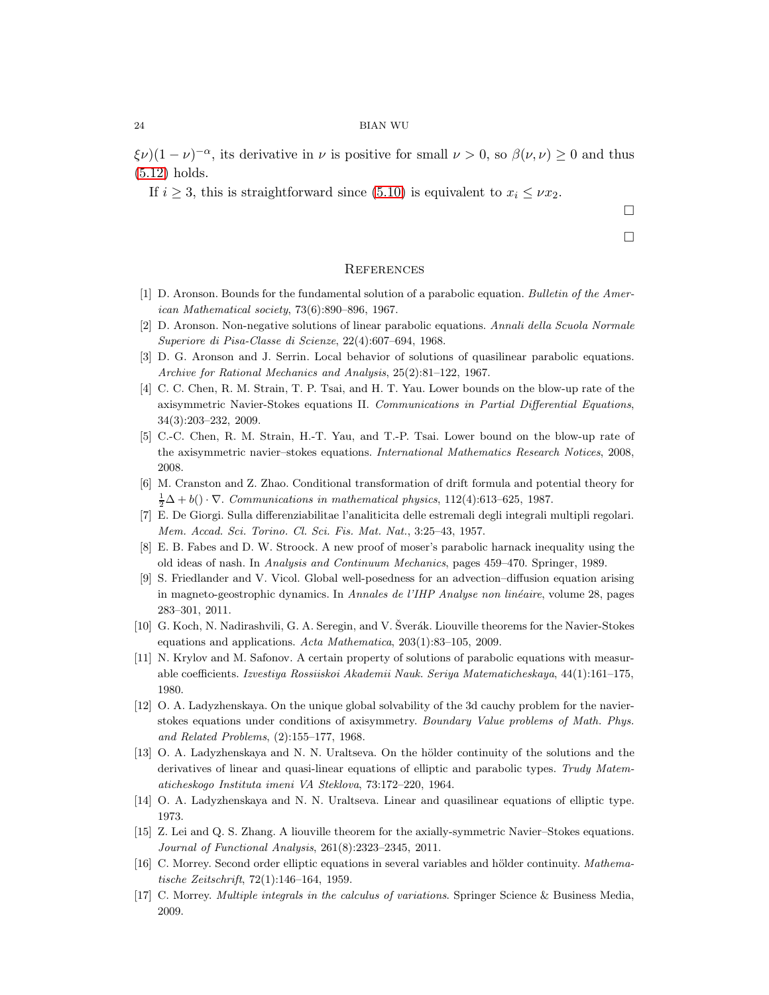$(\xi \nu)(1 - \nu)^{-\alpha}$ , its derivative in  $\nu$  is positive for small  $\nu > 0$ , so  $\beta(\nu, \nu) \ge 0$  and thus [\(5.12\)](#page-22-2) holds.

If  $i \geq 3$ , this is straightforward since [\(5.10\)](#page-22-1) is equivalent to  $x_i \leq \nu x_2$ .

 $\Box$ 

 $\Box$ 

## **REFERENCES**

- <span id="page-23-3"></span><span id="page-23-2"></span>[1] D. Aronson. Bounds for the fundamental solution of a parabolic equation. Bulletin of the American Mathematical society, 73(6):890–896, 1967.
- <span id="page-23-6"></span>[2] D. Aronson. Non-negative solutions of linear parabolic equations. Annali della Scuola Normale Superiore di Pisa-Classe di Scienze, 22(4):607–694, 1968.
- <span id="page-23-15"></span>[3] D. G. Aronson and J. Serrin. Local behavior of solutions of quasilinear parabolic equations. Archive for Rational Mechanics and Analysis, 25(2):81–122, 1967.
- [4] C. C. Chen, R. M. Strain, T. P. Tsai, and H. T. Yau. Lower bounds on the blow-up rate of the axisymmetric Navier-Stokes equations II. Communications in Partial Differential Equations, 34(3):203–232, 2009.
- <span id="page-23-13"></span>[5] C.-C. Chen, R. M. Strain, H.-T. Yau, and T.-P. Tsai. Lower bound on the blow-up rate of the axisymmetric navier–stokes equations. International Mathematics Research Notices, 2008, 2008.
- <span id="page-23-11"></span><span id="page-23-0"></span>[6] M. Cranston and Z. Zhao. Conditional transformation of drift formula and potential theory for  $\frac{1}{2}\Delta + b() \cdot \nabla$ . Communications in mathematical physics, 112(4):613-625, 1987.
- <span id="page-23-4"></span>[7] E. De Giorgi. Sulla differenziabilitae l'analiticita delle estremali degli integrali multipli regolari. Mem. Accad. Sci. Torino. Cl. Sci. Fis. Mat. Nat., 3:25–43, 1957.
- <span id="page-23-5"></span>[8] E. B. Fabes and D. W. Stroock. A new proof of moser's parabolic harnack inequality using the old ideas of nash. In Analysis and Continuum Mechanics, pages 459–470. Springer, 1989.
- [9] S. Friedlander and V. Vicol. Global well-posedness for an advection–diffusion equation arising in magneto-geostrophic dynamics. In Annales de l'IHP Analyse non linéaire, volume 28, pages 283–301, 2011.
- <span id="page-23-14"></span><span id="page-23-1"></span>[10] G. Koch, N. Nadirashvili, G. A. Seregin, and V. Sverák. Liouville theorems for the Navier-Stokes equations and applications. Acta Mathematica, 203(1):83–105, 2009.
- [11] N. Krylov and M. Safonov. A certain property of solutions of parabolic equations with measurable coefficients. Izvestiya Rossiiskoi Akademii Nauk. Seriya Matematicheskaya, 44(1):161–175, 1980.
- <span id="page-23-12"></span>[12] O. A. Ladyzhenskaya. On the unique global solvability of the 3d cauchy problem for the navierstokes equations under conditions of axisymmetry. Boundary Value problems of Math. Phys. and Related Problems, (2):155–177, 1968.
- <span id="page-23-7"></span>[13] O. A. Ladyzhenskaya and N. N. Uraltseva. On the hölder continuity of the solutions and the derivatives of linear and quasi-linear equations of elliptic and parabolic types. Trudy Matematicheskogo Instituta imeni VA Steklova, 73:172–220, 1964.
- <span id="page-23-16"></span><span id="page-23-8"></span>[14] O. A. Ladyzhenskaya and N. N. Uraltseva. Linear and quasilinear equations of elliptic type. 1973.
- [15] Z. Lei and Q. S. Zhang. A liouville theorem for the axially-symmetric Navier–Stokes equations. Journal of Functional Analysis, 261(8):2323–2345, 2011.
- <span id="page-23-9"></span>[16] C. Morrey. Second order elliptic equations in several variables and hölder continuity. Mathematische Zeitschrift, 72(1):146–164, 1959.
- <span id="page-23-10"></span>[17] C. Morrey. Multiple integrals in the calculus of variations. Springer Science & Business Media, 2009.